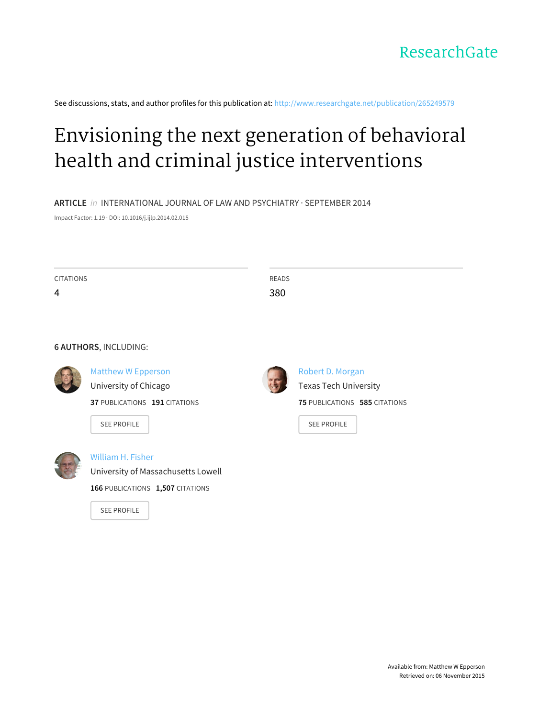

See discussions, stats, and author profiles for this publication at: [http://www.researchgate.net/publication/265249579](http://www.researchgate.net/publication/265249579_Envisioning_the_next_generation_of_behavioral_health_and_criminal_justice_interventions?enrichId=rgreq-92e780f1-8f3d-4fd7-ab79-e504db023a1f&enrichSource=Y292ZXJQYWdlOzI2NTI0OTU3OTtBUzoxMzcwMjYxNDE2OTE5MTlAMTQwOTY4MDk4Njk0OA%3D%3D&el=1_x_2)

# Envisioning the next generation of behavioral health and criminal justice [interventions](http://www.researchgate.net/publication/265249579_Envisioning_the_next_generation_of_behavioral_health_and_criminal_justice_interventions?enrichId=rgreq-92e780f1-8f3d-4fd7-ab79-e504db023a1f&enrichSource=Y292ZXJQYWdlOzI2NTI0OTU3OTtBUzoxMzcwMjYxNDE2OTE5MTlAMTQwOTY4MDk4Njk0OA%3D%3D&el=1_x_3)

**ARTICLE** in INTERNATIONAL JOURNAL OF LAW AND PSYCHIATRY · SEPTEMBER 2014

Impact Factor: 1.19 · DOI: 10.1016/j.ijlp.2014.02.015

| <b>CITATIONS</b> |                                    | <b>READS</b> |                                      |  |  |  |  |  |
|------------------|------------------------------------|--------------|--------------------------------------|--|--|--|--|--|
| 4                |                                    | 380          |                                      |  |  |  |  |  |
|                  |                                    |              |                                      |  |  |  |  |  |
|                  | <b>6 AUTHORS, INCLUDING:</b>       |              |                                      |  |  |  |  |  |
|                  | <b>Matthew W Epperson</b>          |              | Robert D. Morgan                     |  |  |  |  |  |
|                  | University of Chicago              |              | <b>Texas Tech University</b>         |  |  |  |  |  |
|                  | 37 PUBLICATIONS 191 CITATIONS      |              | <b>75 PUBLICATIONS 585 CITATIONS</b> |  |  |  |  |  |
|                  | <b>SEE PROFILE</b>                 |              | <b>SEE PROFILE</b>                   |  |  |  |  |  |
|                  | William H. Fisher                  |              |                                      |  |  |  |  |  |
|                  | University of Massachusetts Lowell |              |                                      |  |  |  |  |  |
|                  | 166 PUBLICATIONS 1,507 CITATIONS   |              |                                      |  |  |  |  |  |
|                  | <b>SEE PROFILE</b>                 |              |                                      |  |  |  |  |  |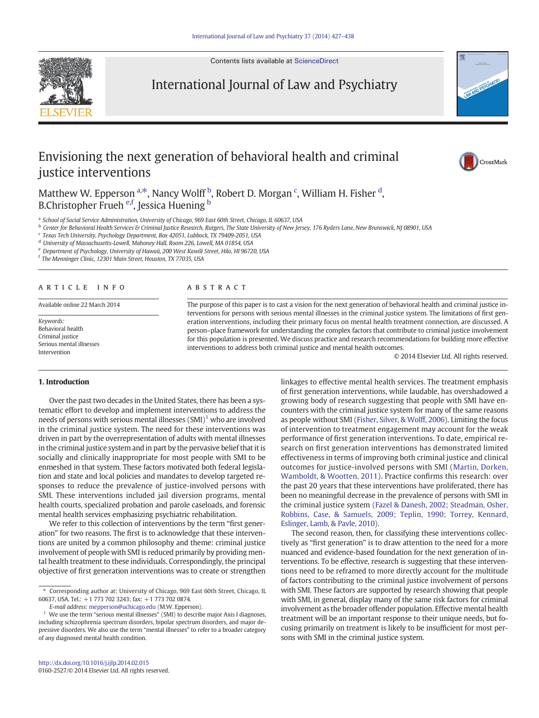Contents lists available at [ScienceDirect](http://www.sciencedirect.com/science/journal/01602527)





### Envisioning the next generation of behavioral health and criminal justice interventions



Matthew W. Epperson <sup>a,\*</sup>, Nancy Wolff <sup>b</sup>, Robert D. Morgan <sup>c</sup>, William H. Fisher <sup>d</sup>, B.Christopher Frueh <sup>e,f</sup>, Jessica Huening <sup>b</sup>

a School of Social Service Administration, University of Chicago, 969 East 60th Street, Chicago, IL 60637, USA

<sup>b</sup> Center for Behavioral Health Services & Criminal Justice Research, Rutgers, The State University of New Jersey, 176 Ryders Lane, New Brunswick, NJ 08901, USA

<sup>c</sup> Texas Tech University, Psychology Department, Box 42051, Lubbock, TX 79409-2051, USA

<sup>d</sup> University of Massachusetts-Lowell, Mahoney Hall, Room 226, Lowell, MA 01854, USA

<sup>e</sup> Department of Psychology, University of Hawaii, 200 West Kawili Street, Hilo, HI 96720, USA

<sup>f</sup> The Menninger Clinic, 12301 Main Street, Houston, TX 77035, USA

#### article info abstract

Available online 22 March 2014

Keywords: Behavioral health Criminal justice Serious mental illnesses Intervention

The purpose of this paper is to cast a vision for the next generation of behavioral health and criminal justice interventions for persons with serious mental illnesses in the criminal justice system. The limitations of first generation interventions, including their primary focus on mental health treatment connection, are discussed. A person–place framework for understanding the complex factors that contribute to criminal justice involvement for this population is presented. We discuss practice and research recommendations for building more effective interventions to address both criminal justice and mental health outcomes.

© 2014 Elsevier Ltd. All rights reserved.

#### 1. Introduction

Over the past two decades in the United States, there has been a systematic effort to develop and implement interventions to address the needs of persons with serious mental illnesses  $(SMI)^1$  who are involved in the criminal justice system. The need for these interventions was driven in part by the overrepresentation of adults with mental illnesses in the criminal justice system and in part by the pervasive belief that it is socially and clinically inappropriate for most people with SMI to be enmeshed in that system. These factors motivated both federal legislation and state and local policies and mandates to develop targeted responses to reduce the prevalence of justice-involved persons with SMI. These interventions included jail diversion programs, mental health courts, specialized probation and parole caseloads, and forensic mental health services emphasizing psychiatric rehabilitation.

We refer to this collection of interventions by the term "first generation" for two reasons. The first is to acknowledge that these interventions are united by a common philosophy and theme: criminal justice involvement of people with SMI is reduced primarily by providing mental health treatment to these individuals. Correspondingly, the principal objective of first generation interventions was to create or strengthen

E-mail address: [mepperson@uchicago.edu](mailto:mepperson@uchicago.edu) (M.W. Epperson).

linkages to effective mental health services. The treatment emphasis of first generation interventions, while laudable, has overshadowed a growing body of research suggesting that people with SMI have encounters with the criminal justice system for many of the same reasons as people without SMI (Fisher, Silver, & Wolff, 2006). Limiting the focus of intervention to treatment engagement may account for the weak performance of first generation interventions. To date, empirical research on first generation interventions has demonstrated limited effectiveness in terms of improving both criminal justice and clinical outcomes for justice-involved persons with SMI (Martin, Dorken, Wamboldt, & Wootten, 2011). Practice confirms this research: over the past 20 years that these interventions have proliferated, there has been no meaningful decrease in the prevalence of persons with SMI in the criminal justice system (Fazel & Danesh, 2002; Steadman, Osher, Robbins, Case, & Samuels, 2009; Teplin, 1990; Torrey, Kennard, Eslinger, Lamb, & Pavle, 2010).

The second reason, then, for classifying these interventions collectively as "first generation" is to draw attention to the need for a more nuanced and evidence-based foundation for the next generation of interventions. To be effective, research is suggesting that these interventions need to be reframed to more directly account for the multitude of factors contributing to the criminal justice involvement of persons with SMI. These factors are supported by research showing that people with SMI, in general, display many of the same risk factors for criminal involvement as the broader offender population. Effective mental health treatment will be an important response to their unique needs, but focusing primarily on treatment is likely to be insufficient for most persons with SMI in the criminal justice system.

<sup>⁎</sup> Corresponding author at: University of Chicago, 969 East 60th Street, Chicago, IL 60637, USA. Tel.: +1 773 702 3243; fax: +1 773 702 0874.

We use the term "serious mental illnesses" (SMI) to describe major Axis I diagnoses, including schizophrenia spectrum disorders, bipolar spectrum disorders, and major depressive disorders. We also use the term "mental illnesses" to refer to a broader category of any diagnosed mental health condition.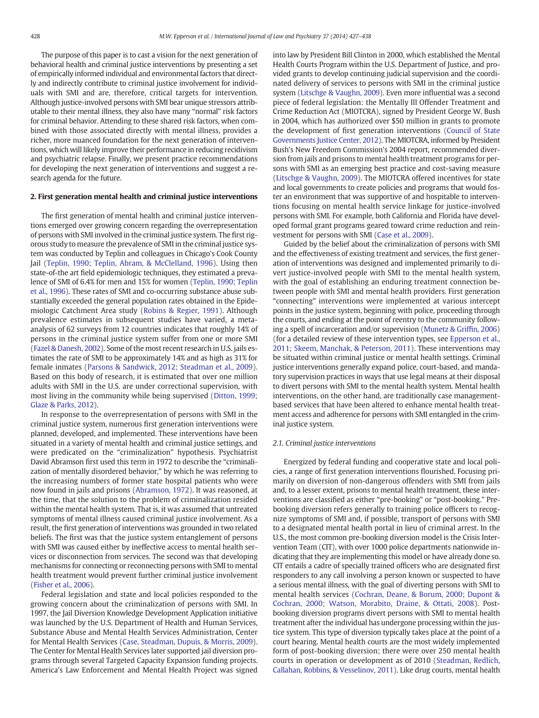The purpose of this paper is to cast a vision for the next generation of behavioral health and criminal justice interventions by presenting a set of empirically informed individual and environmental factors that directly and indirectly contribute to criminal justice involvement for individuals with SMI and are, therefore, critical targets for intervention. Although justice-involved persons with SMI bear unique stressors attributable to their mental illness, they also have many "normal" risk factors for criminal behavior. Attending to these shared risk factors, when combined with those associated directly with mental illness, provides a richer, more nuanced foundation for the next generation of interventions, which will likely improve their performance in reducing recidivism and psychiatric relapse. Finally, we present practice recommendations for developing the next generation of interventions and suggest a research agenda for the future.

#### 2. First generation mental health and criminal justice interventions

The first generation of mental health and criminal justice interventions emerged over growing concern regarding the overrepresentation of persons with SMI involved in the criminal justice system. The first rigorous study to measure the prevalence of SMI in the criminal justice system was conducted by Teplin and colleagues in Chicago's Cook County Jail (Teplin, 1990; Teplin, Abram, & McClelland, 1996). Using then state-of-the art field epidemiologic techniques, they estimated a prevalence of SMI of 6.4% for men and 15% for women (Teplin, 1990; Teplin et al., 1996). These rates of SMI and co-occurring substance abuse substantially exceeded the general population rates obtained in the Epidemiologic Catchment Area study (Robins & Regier, 1991). Although prevalence estimates in subsequent studies have varied, a metaanalysis of 62 surveys from 12 countries indicates that roughly 14% of persons in the criminal justice system suffer from one or more SMI (Fazel & Danesh, 2002). Some of the most recent research in U.S. jails estimates the rate of SMI to be approximately 14% and as high as 31% for female inmates (Parsons & Sandwick, 2012; Steadman et al., 2009). Based on this body of research, it is estimated that over one million adults with SMI in the U.S. are under correctional supervision, with most living in the community while being supervised (Ditton, 1999; Glaze & Parks, 2012).

In response to the overrepresentation of persons with SMI in the criminal justice system, numerous first generation interventions were planned, developed, and implemented. These interventions have been situated in a variety of mental health and criminal justice settings, and were predicated on the "criminalization" hypothesis. Psychiatrist David Abramson first used this term in 1972 to describe the "criminalization of mentally disordered behavior," by which he was referring to the increasing numbers of former state hospital patients who were now found in jails and prisons (Abramson, 1972). It was reasoned, at the time, that the solution to the problem of criminalization resided within the mental health system. That is, it was assumed that untreated symptoms of mental illness caused criminal justice involvement. As a result, the first generation of interventions was grounded in two related beliefs. The first was that the justice system entanglement of persons with SMI was caused either by ineffective access to mental health services or disconnection from services. The second was that developing mechanisms for connecting or reconnecting persons with SMI to mental health treatment would prevent further criminal justice involvement (Fisher et al., 2006).

Federal legislation and state and local policies responded to the growing concern about the criminalization of persons with SMI. In 1997, the Jail Diversion Knowledge Development Application initiative was launched by the U.S. Department of Health and Human Services, Substance Abuse and Mental Health Services Administration, Center for Mental Health Services (Case, Steadman, Dupuis, & Morris, 2009). The Center for Mental Health Services later supported jail diversion programs through several Targeted Capacity Expansion funding projects. America's Law Enforcement and Mental Health Project was signed into law by President Bill Clinton in 2000, which established the Mental Health Courts Program within the U.S. Department of Justice, and provided grants to develop continuing judicial supervision and the coordinated delivery of services to persons with SMI in the criminal justice system (Litschge & Vaughn, 2009). Even more influential was a second piece of federal legislation: the Mentally Ill Offender Treatment and Crime Reduction Act (MIOTCRA), signed by President George W. Bush in 2004, which has authorized over \$50 million in grants to promote the development of first generation interventions (Council of State Governments Justice Center, 2012). The MIOTCRA, informed by President Bush's New Freedom Commission's 2004 report, recommended diversion from jails and prisons to mental health treatment programs for persons with SMI as an emerging best practice and cost-saving measure (Litschge & Vaughn, 2009). The MIOTCRA offered incentives for state and local governments to create policies and programs that would foster an environment that was supportive of and hospitable to interventions focusing on mental health service linkage for justice-involved persons with SMI. For example, both California and Florida have developed formal grant programs geared toward crime reduction and reinvestment for persons with SMI (Case et al., 2009).

Guided by the belief about the criminalization of persons with SMI and the effectiveness of existing treatment and services, the first generation of interventions was designed and implemented primarily to divert justice-involved people with SMI to the mental health system, with the goal of establishing an enduring treatment connection between people with SMI and mental health providers. First generation "connecting" interventions were implemented at various intercept points in the justice system, beginning with police, proceeding through the courts, and ending at the point of reentry to the community following a spell of incarceration and/or supervision (Munetz & Griffin, 2006) (for a detailed review of these intervention types, see Epperson et al., 2011; Skeem, Manchak, & Peterson, 2011). These interventions may be situated within criminal justice or mental health settings. Criminal justice interventions generally expand police, court-based, and mandatory supervision practices in ways that use legal means at their disposal to divert persons with SMI to the mental health system. Mental health interventions, on the other hand, are traditionally case managementbased services that have been altered to enhance mental health treatment access and adherence for persons with SMI entangled in the criminal justice system.

#### 2.1. Criminal justice interventions

Energized by federal funding and cooperative state and local policies, a range of first generation interventions flourished. Focusing primarily on diversion of non-dangerous offenders with SMI from jails and, to a lesser extent, prisons to mental health treatment, these interventions are classified as either "pre-booking" or "post-booking." Prebooking diversion refers generally to training police officers to recognize symptoms of SMI and, if possible, transport of persons with SMI to a designated mental health portal in lieu of criminal arrest. In the U.S., the most common pre-booking diversion model is the Crisis Intervention Team (CIT), with over 1000 police departments nationwide indicating that they are implementing this model or have already done so. CIT entails a cadre of specially trained officers who are designated first responders to any call involving a person known or suspected to have a serious mental illness, with the goal of diverting persons with SMI to mental health services (Cochran, Deane, & Borum, 2000; Dupont & Cochran, 2000; Watson, Morabito, Draine, & Ottati, 2008). Postbooking diversion programs divert persons with SMI to mental health treatment after the individual has undergone processing within the justice system. This type of diversion typically takes place at the point of a court hearing. Mental health courts are the most widely implemented form of post-booking diversion; there were over 250 mental health courts in operation or development as of 2010 (Steadman, Redlich, Callahan, Robbins, & Vesselinov, 2011). Like drug courts, mental health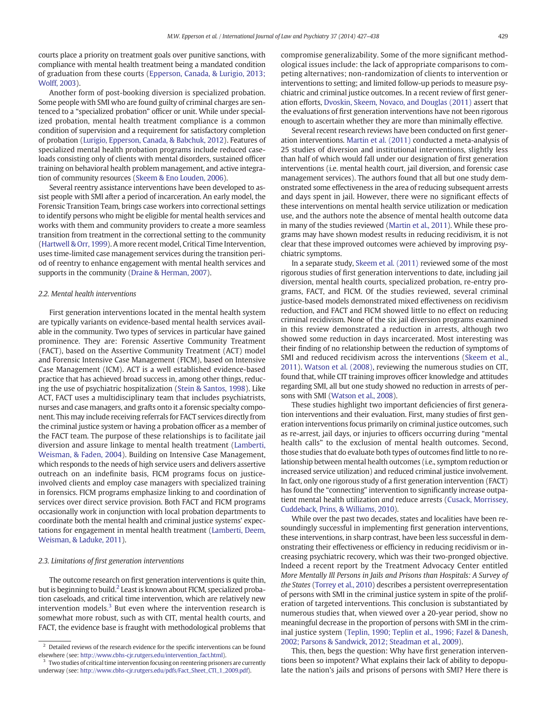courts place a priority on treatment goals over punitive sanctions, with compliance with mental health treatment being a mandated condition of graduation from these courts (Epperson, Canada, & Lurigio, 2013; Wolff, 2003).

Another form of post-booking diversion is specialized probation. Some people with SMI who are found guilty of criminal charges are sentenced to a "specialized probation" officer or unit. While under specialized probation, mental health treatment compliance is a common condition of supervision and a requirement for satisfactory completion of probation (Lurigio, Epperson, Canada, & Babchuk, 2012). Features of specialized mental health probation programs include reduced caseloads consisting only of clients with mental disorders, sustained officer training on behavioral health problem management, and active integration of community resources (Skeem & Eno Louden, 2006).

Several reentry assistance interventions have been developed to assist people with SMI after a period of incarceration. An early model, the Forensic Transition Team, brings case workers into correctional settings to identify persons who might be eligible for mental health services and works with them and community providers to create a more seamless transition from treatment in the correctional setting to the community (Hartwell & Orr, 1999). A more recent model, Critical Time Intervention, uses time-limited case management services during the transition period of reentry to enhance engagement with mental health services and supports in the community (Draine & Herman, 2007).

#### 2.2. Mental health interventions

First generation interventions located in the mental health system are typically variants on evidence-based mental health services available in the community. Two types of services in particular have gained prominence. They are: Forensic Assertive Community Treatment (FACT), based on the Assertive Community Treatment (ACT) model and Forensic Intensive Case Management (FICM), based on Intensive Case Management (ICM). ACT is a well established evidence-based practice that has achieved broad success in, among other things, reducing the use of psychiatric hospitalization (Stein & Santos, 1998). Like ACT, FACT uses a multidisciplinary team that includes psychiatrists, nurses and case managers, and grafts onto it a forensic specialty component. This may include receiving referrals for FACT services directly from the criminal justice system or having a probation officer as a member of the FACT team. The purpose of these relationships is to facilitate jail diversion and assure linkage to mental health treatment (Lamberti, Weisman, & Faden, 2004). Building on Intensive Case Management, which responds to the needs of high service users and delivers assertive outreach on an indefinite basis, FICM programs focus on justiceinvolved clients and employ case managers with specialized training in forensics. FICM programs emphasize linking to and coordination of services over direct service provision. Both FACT and FICM programs occasionally work in conjunction with local probation departments to coordinate both the mental health and criminal justice systems' expectations for engagement in mental health treatment (Lamberti, Deem, Weisman, & Laduke, 2011).

#### 2.3. Limitations of first generation interventions

The outcome research on first generation interventions is quite thin, but is beginning to build.<sup>2</sup> Least is known about FICM, specialized probation caseloads, and critical time intervention, which are relatively new intervention models. $3$  But even where the intervention research is somewhat more robust, such as with CIT, mental health courts, and FACT, the evidence base is fraught with methodological problems that compromise generalizability. Some of the more significant methodological issues include: the lack of appropriate comparisons to competing alternatives; non-randomization of clients to intervention or interventions to setting; and limited follow-up periods to measure psychiatric and criminal justice outcomes. In a recent review of first generation efforts, Dvoskin, Skeem, Novaco, and Douglas (2011) assert that the evaluations of first generation interventions have not been rigorous enough to ascertain whether they are more than minimally effective.

Several recent research reviews have been conducted on first generation interventions. Martin et al. (2011) conducted a meta-analysis of 25 studies of diversion and institutional interventions, slightly less than half of which would fall under our designation of first generation interventions (i.e. mental health court, jail diversion, and forensic case management services). The authors found that all but one study demonstrated some effectiveness in the area of reducing subsequent arrests and days spent in jail. However, there were no significant effects of these interventions on mental health service utilization or medication use, and the authors note the absence of mental health outcome data in many of the studies reviewed (Martin et al., 2011). While these programs may have shown modest results in reducing recidivism, it is not clear that these improved outcomes were achieved by improving psychiatric symptoms.

In a separate study, Skeem et al. (2011) reviewed some of the most rigorous studies of first generation interventions to date, including jail diversion, mental health courts, specialized probation, re-entry programs, FACT, and FICM. Of the studies reviewed, several criminal justice-based models demonstrated mixed effectiveness on recidivism reduction, and FACT and FICM showed little to no effect on reducing criminal recidivism. None of the six jail diversion programs examined in this review demonstrated a reduction in arrests, although two showed some reduction in days incarcerated. Most interesting was their finding of no relationship between the reduction of symptoms of SMI and reduced recidivism across the interventions (Skeem et al., 2011). Watson et al. (2008), reviewing the numerous studies on CIT, found that, while CIT training improves officer knowledge and attitudes regarding SMI, all but one study showed no reduction in arrests of persons with SMI (Watson et al., 2008).

These studies highlight two important deficiencies of first generation interventions and their evaluation. First, many studies of first generation interventions focus primarily on criminal justice outcomes, such as re-arrest, jail days, or injuries to officers occurring during "mental health calls" to the exclusion of mental health outcomes. Second, those studies that do evaluate both types of outcomes find little to no relationship between mental health outcomes (i.e., symptom reduction or increased service utilization) and reduced criminal justice involvement. In fact, only one rigorous study of a first generation intervention (FACT) has found the "connecting" intervention to significantly increase outpatient mental health utilization and reduce arrests (Cusack, Morrissey, Cuddeback, Prins, & Williams, 2010).

While over the past two decades, states and localities have been resoundingly successful in implementing first generation interventions, these interventions, in sharp contrast, have been less successful in demonstrating their effectiveness or efficiency in reducing recidivism or increasing psychiatric recovery, which was their two-pronged objective. Indeed a recent report by the Treatment Advocacy Center entitled More Mentally Ill Persons in Jails and Prisons than Hospitals: A Survey of the States (Torrey et al., 2010) describes a persistent overrepresentation of persons with SMI in the criminal justice system in spite of the proliferation of targeted interventions. This conclusion is substantiated by numerous studies that, when viewed over a 20-year period, show no meaningful decrease in the proportion of persons with SMI in the criminal justice system (Teplin, 1990; Teplin et al., 1996; Fazel & Danesh, 2002; Parsons & Sandwick, 2012; Steadman et al., 2009).

This, then, begs the question: Why have first generation interventions been so impotent? What explains their lack of ability to depopulate the nation's jails and prisons of persons with SMI? Here there is

 $^{\rm 2}$  Detailed reviews of the research evidence for the specific interventions can be found elsewhere (see: [http://www.cbhs-cjr.rutgers.edu/intervention\\_fact.html](http://www.cbhs-cjr.rutgers.edu/intervention_fact.html)).

Two studies of critical time intervention focusing on reentering prisoners are currently underway (see: [http://www.cbhs-cjr.rutgers.edu/pdfs/Fact\\_Sheet\\_CTI\\_1\\_2009.pdf\)](http://www.cbhs-cjr.rutgers.edu/pdfs/Fact_Sheet_CTI_1_2009.pdf).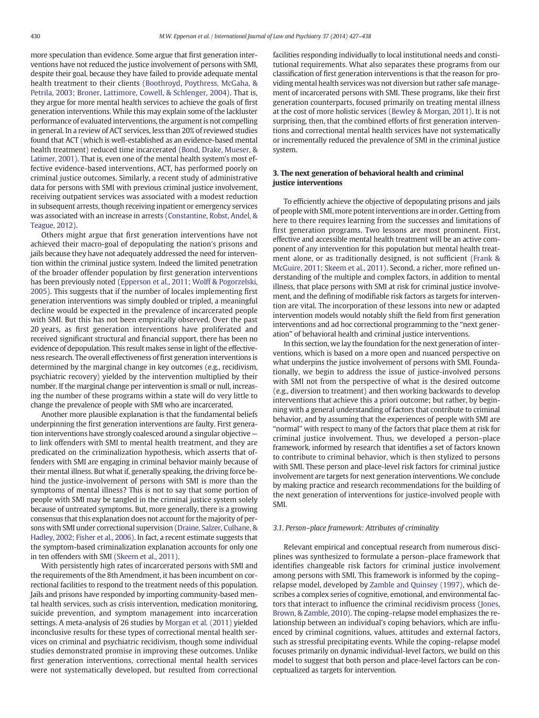more speculation than evidence. Some argue that first generation interventions have not reduced the justice involvement of persons with SMI, despite their goal, because they have failed to provide adequate mental health treatment to their clients (Boothroyd, Poythress, McGaha, & Petrila, 2003; Broner, Lattimore, Cowell, & Schlenger, 2004). That is, they argue for more mental health services to achieve the goals of first generation interventions. While this may explain some of the lackluster performance of evaluated interventions, the argument is not compelling in general. In a review of ACT services, less than 20% of reviewed studies found that ACT (which is well-established as an evidence-based mental health treatment) reduced time incarcerated (Bond, Drake, Mueser, & Latimer, 2001). That is, even one of the mental health system's most effective evidence-based interventions, ACT, has performed poorly on criminal justice outcomes. Similarly, a recent study of administrative data for persons with SMI with previous criminal justice involvement, receiving outpatient services was associated with a modest reduction in subsequent arrests, though receiving inpatient or emergency services was associated with an increase in arrests (Constantine, Robst, Andel, & Teague, 2012).

Others might argue that first generation interventions have not achieved their macro-goal of depopulating the nation's prisons and jails because they have not adequately addressed the need for intervention within the criminal justice system. Indeed the limited penetration of the broader offender population by first generation interventions has been previously noted (Epperson et al., 2011; Wolff & Pogorzelski, 2005). This suggests that if the number of locales implementing first generation interventions was simply doubled or tripled, a meaningful decline would be expected in the prevalence of incarcerated people with SMI. But this has not been empirically observed. Over the past 20 years, as first generation interventions have proliferated and received significant structural and financial support, there has been no evidence of depopulation. This result makes sense in light of the effectiveness research. The overall effectiveness of first generation interventions is determined by the marginal change in key outcomes (e.g., recidivism, psychiatric recovery) yielded by the intervention multiplied by their number. If the marginal change per intervention is small or null, increasing the number of these programs within a state will do very little to change the prevalence of people with SMI who are incarcerated.

Another more plausible explanation is that the fundamental beliefs underpinning the first generation interventions are faulty. First generation interventions have strongly coalesced around a singular objective to link offenders with SMI to mental health treatment, and they are predicated on the criminalization hypothesis, which asserts that offenders with SMI are engaging in criminal behavior mainly because of their mental illness. But what if, generally speaking, the driving force behind the justice-involvement of persons with SMI is more than the symptoms of mental illness? This is not to say that some portion of people with SMI may be tangled in the criminal justice system solely because of untreated symptoms. But, more generally, there is a growing consensus that this explanation does not account for the majority of persons with SMI under correctional supervision (Draine, Salzer, Culhane, & Hadley, 2002; Fisher et al., 2006). In fact, a recent estimate suggests that the symptom-based criminalization explanation accounts for only one in ten offenders with SMI (Skeem et al., 2011).

With persistently high rates of incarcerated persons with SMI and the requirements of the 8th Amendment, it has been incumbent on correctional facilities to respond to the treatment needs of this population. Jails and prisons have responded by importing community-based mental health services, such as crisis intervention, medication monitoring, suicide prevention, and symptom management into incarceration settings. A meta-analysis of 26 studies by Morgan et al. (2011) yielded inconclusive results for these types of correctional mental health services on criminal and psychiatric recidivism, though some individual studies demonstrated promise in improving these outcomes. Unlike first generation interventions, correctional mental health services were not systematically developed, but resulted from correctional facilities responding individually to local institutional needs and constitutional requirements. What also separates these programs from our classification of first generation interventions is that the reason for providing mental health services was not diversion but rather safe management of incarcerated persons with SMI. These programs, like their first generation counterparts, focused primarily on treating mental illness at the cost of more holistic services (Bewley & Morgan, 2011). It is not surprising, then, that the combined efforts of first generation interventions and correctional mental health services have not systematically or incrementally reduced the prevalence of SMI in the criminal justice system.

#### 3. The next generation of behavioral health and criminal justice interventions

To efficiently achieve the objective of depopulating prisons and jails of people with SMI, more potent interventions are in order. Getting from here to there requires learning from the successes and limitations of first generation programs. Two lessons are most prominent. First, effective and accessible mental health treatment will be an active component of any intervention for this population but mental health treatment alone, or as traditionally designed, is not sufficient (Frank & McGuire, 2011; Skeem et al., 2011). Second, a richer, more refined understanding of the multiple and complex factors, in addition to mental illness, that place persons with SMI at risk for criminal justice involvement, and the defining of modifiable risk factors as targets for intervention are vital. The incorporation of these lessons into new or adapted intervention models would notably shift the field from first generation interventions and ad hoc correctional programming to the "next generation" of behavioral health and criminal justice interventions.

In this section, we lay the foundation for the next generation of interventions, which is based on a more open and nuanced perspective on what underpins the justice involvement of persons with SMI. Foundationally, we begin to address the issue of justice-involved persons with SMI not from the perspective of what is the desired outcome (e.g., diversion to treatment) and then working backwards to develop interventions that achieve this a priori outcome; but rather, by beginning with a general understanding of factors that contribute to criminal behavior, and by assuming that the experiences of people with SMI are "normal" with respect to many of the factors that place them at risk for criminal justice involvement. Thus, we developed a person–place framework, informed by research that identifies a set of factors known to contribute to criminal behavior, which is then stylized to persons with SMI. These person and place-level risk factors for criminal justice involvement are targets for next generation interventions. We conclude by making practice and research recommendations for the building of the next generation of interventions for justice-involved people with SMI.

#### 3.1. Person–place framework: Attributes of criminality

Relevant empirical and conceptual research from numerous disciplines was synthesized to formulate a person–place framework that identifies changeable risk factors for criminal justice involvement among persons with SMI. This framework is informed by the coping– relapse model, developed by Zamble and Quinsey (1997), which describes a complex series of cognitive, emotional, and environmental factors that interact to influence the criminal recidivism process (Jones, Brown, & Zamble, 2010). The coping–relapse model emphasizes the relationship between an individual's coping behaviors, which are influenced by criminal cognitions, values, attitudes and external factors, such as stressful precipitating events. While the coping–relapse model focuses primarily on dynamic individual-level factors, we build on this model to suggest that both person and place-level factors can be conceptualized as targets for intervention.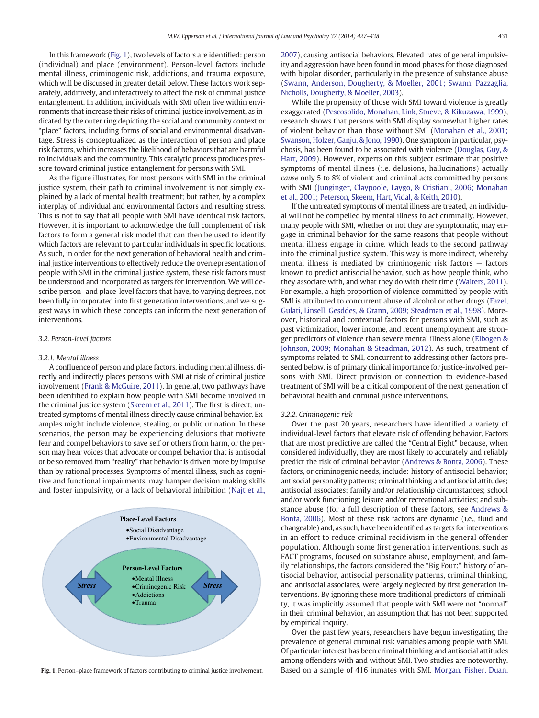In this framework (Fig. 1), two levels of factors are identified: person (individual) and place (environment). Person-level factors include mental illness, criminogenic risk, addictions, and trauma exposure, which will be discussed in greater detail below. These factors work separately, additively, and interactively to affect the risk of criminal justice entanglement. In addition, individuals with SMI often live within environments that increase their risks of criminal justice involvement, as indicated by the outer ring depicting the social and community context or "place" factors, including forms of social and environmental disadvantage. Stress is conceptualized as the interaction of person and place risk factors, which increases the likelihood of behaviors that are harmful to individuals and the community. This catalytic process produces pressure toward criminal justice entanglement for persons with SMI.

As the figure illustrates, for most persons with SMI in the criminal justice system, their path to criminal involvement is not simply explained by a lack of mental health treatment; but rather, by a complex interplay of individual and environmental factors and resulting stress. This is not to say that all people with SMI have identical risk factors. However, it is important to acknowledge the full complement of risk factors to form a general risk model that can then be used to identify which factors are relevant to particular individuals in specific locations. As such, in order for the next generation of behavioral health and criminal justice interventions to effectively reduce the overrepresentation of people with SMI in the criminal justice system, these risk factors must be understood and incorporated as targets for intervention. We will describe person- and place-level factors that have, to varying degrees, not been fully incorporated into first generation interventions, and we suggest ways in which these concepts can inform the next generation of interventions.

#### 3.2. Person-level factors

#### 3.2.1. Mental illness

A confluence of person and place factors, including mental illness, directly and indirectly places persons with SMI at risk of criminal justice involvement (Frank & McGuire, 2011). In general, two pathways have been identified to explain how people with SMI become involved in the criminal justice system (Skeem et al., 2011). The first is direct; untreated symptoms of mental illness directly cause criminal behavior. Examples might include violence, stealing, or public urination. In these scenarios, the person may be experiencing delusions that motivate fear and compel behaviors to save self or others from harm, or the person may hear voices that advocate or compel behavior that is antisocial or be so removed from "reality" that behavior is driven more by impulse than by rational processes. Symptoms of mental illness, such as cognitive and functional impairments, may hamper decision making skills and foster impulsivity, or a lack of behavioral inhibition (Najt et al.,



Fig. 1. Person–place framework of factors contributing to criminal justice involvement.

2007), causing antisocial behaviors. Elevated rates of general impulsivity and aggression have been found in mood phases for those diagnosed with bipolar disorder, particularly in the presence of substance abuse (Swann, Anderson, Dougherty, & Moeller, 2001; Swann, Pazzaglia, Nicholls, Dougherty, & Moeller, 2003).

While the propensity of those with SMI toward violence is greatly exaggerated (Pescosolido, Monahan, Link, Stueve, & Kikuzawa, 1999), research shows that persons with SMI display somewhat higher rates of violent behavior than those without SMI (Monahan et al., 2001; Swanson, Holzer, Ganju, & Jono, 1990). One symptom in particular, psychosis, has been found to be associated with violence (Douglas, Guy, & Hart, 2009). However, experts on this subject estimate that positive symptoms of mental illness (i.e. delusions, hallucinations) actually cause only 5 to 8% of violent and criminal acts committed by persons with SMI (Junginger, Claypoole, Laygo, & Cristiani, 2006; Monahan et al., 2001; Peterson, Skeem, Hart, Vidal, & Keith, 2010).

If the untreated symptoms of mental illness are treated, an individual will not be compelled by mental illness to act criminally. However, many people with SMI, whether or not they are symptomatic, may engage in criminal behavior for the same reasons that people without mental illness engage in crime, which leads to the second pathway into the criminal justice system. This way is more indirect, whereby mental illness is mediated by criminogenic risk factors — factors known to predict antisocial behavior, such as how people think, who they associate with, and what they do with their time (Walters, 2011). For example, a high proportion of violence committed by people with SMI is attributed to concurrent abuse of alcohol or other drugs (Fazel, Gulati, Linsell, Gesddes, & Grann, 2009; Steadman et al., 1998). Moreover, historical and contextual factors for persons with SMI, such as past victimization, lower income, and recent unemployment are stronger predictors of violence than severe mental illness alone (Elbogen & Johnson, 2009; Monahan & Steadman, 2012). As such, treatment of symptoms related to SMI, concurrent to addressing other factors presented below, is of primary clinical importance for justice-involved persons with SMI. Direct provision or connection to evidence-based treatment of SMI will be a critical component of the next generation of behavioral health and criminal justice interventions.

#### 3.2.2. Criminogenic risk

Over the past 20 years, researchers have identified a variety of individual-level factors that elevate risk of offending behavior. Factors that are most predictive are called the "Central Eight" because, when considered individually, they are most likely to accurately and reliably predict the risk of criminal behavior (Andrews & Bonta, 2006). These factors, or criminogenic needs, include: history of antisocial behavior; antisocial personality patterns; criminal thinking and antisocial attitudes; antisocial associates; family and/or relationship circumstances; school and/or work functioning; leisure and/or recreational activities; and substance abuse (for a full description of these factors, see Andrews & Bonta, 2006). Most of these risk factors are dynamic (i.e., fluid and changeable) and, as such, have been identified as targets for interventions in an effort to reduce criminal recidivism in the general offender population. Although some first generation interventions, such as FACT programs, focused on substance abuse, employment, and family relationships, the factors considered the "Big Four:" history of antisocial behavior, antisocial personality patterns, criminal thinking, and antisocial associates, were largely neglected by first generation interventions. By ignoring these more traditional predictors of criminality, it was implicitly assumed that people with SMI were not "normal" in their criminal behavior, an assumption that has not been supported by empirical inquiry.

Over the past few years, researchers have begun investigating the prevalence of general criminal risk variables among people with SMI. Of particular interest has been criminal thinking and antisocial attitudes among offenders with and without SMI. Two studies are noteworthy. Based on a sample of 416 inmates with SMI, Morgan, Fisher, Duan,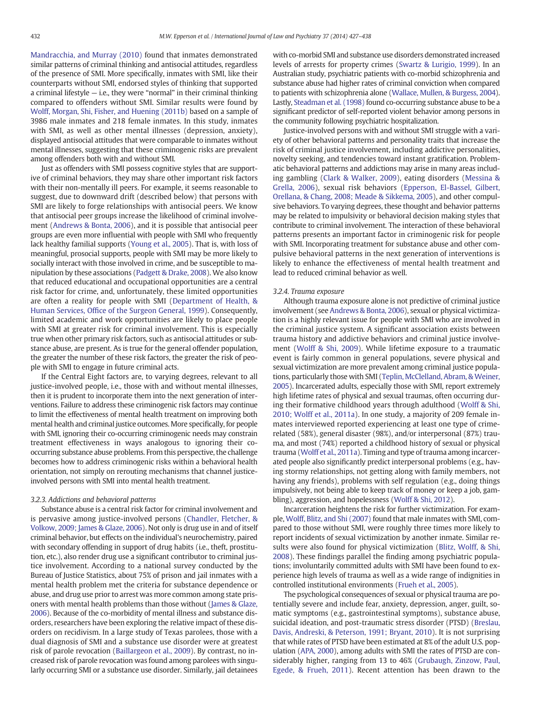Mandracchia, and Murray (2010) found that inmates demonstrated similar patterns of criminal thinking and antisocial attitudes, regardless of the presence of SMI. More specifically, inmates with SMI, like their counterparts without SMI, endorsed styles of thinking that supported a criminal lifestyle  $-$  i.e., they were "normal" in their criminal thinking compared to offenders without SMI. Similar results were found by Wolff, Morgan, Shi, Fisher, and Huening (2011b) based on a sample of 3986 male inmates and 218 female inmates. In this study, inmates with SMI, as well as other mental illnesses (depression, anxiety), displayed antisocial attitudes that were comparable to inmates without mental illnesses, suggesting that these criminogenic risks are prevalent among offenders both with and without SMI.

Just as offenders with SMI possess cognitive styles that are supportive of criminal behaviors, they may share other important risk factors with their non-mentally ill peers. For example, it seems reasonable to suggest, due to downward drift (described below) that persons with SMI are likely to forge relationships with antisocial peers. We know that antisocial peer groups increase the likelihood of criminal involvement (Andrews & Bonta, 2006), and it is possible that antisocial peer groups are even more influential with people with SMI who frequently lack healthy familial supports (Young et al., 2005). That is, with loss of meaningful, prosocial supports, people with SMI may be more likely to socially interact with those involved in crime, and be susceptible to manipulation by these associations (Padgett & Drake, 2008). We also know that reduced educational and occupational opportunities are a central risk factor for crime, and, unfortunately, these limited opportunities are often a reality for people with SMI (Department of Health, & Human Services, Office of the Surgeon General, 1999). Consequently, limited academic and work opportunities are likely to place people with SMI at greater risk for criminal involvement. This is especially true when other primary risk factors, such as antisocial attitudes or substance abuse, are present. As is true for the general offender population, the greater the number of these risk factors, the greater the risk of people with SMI to engage in future criminal acts.

If the Central Eight factors are, to varying degrees, relevant to all justice-involved people, i.e., those with and without mental illnesses, then it is prudent to incorporate them into the next generation of interventions. Failure to address these criminogenic risk factors may continue to limit the effectiveness of mental health treatment on improving both mental health and criminal justice outcomes. More specifically, for people with SMI, ignoring their co-occurring criminogenic needs may constrain treatment effectiveness in ways analogous to ignoring their cooccurring substance abuse problems. From this perspective, the challenge becomes how to address criminogenic risks within a behavioral health orientation, not simply on rerouting mechanisms that channel justiceinvolved persons with SMI into mental health treatment.

#### 3.2.3. Addictions and behavioral patterns

Substance abuse is a central risk factor for criminal involvement and is pervasive among justice-involved persons (Chandler, Fletcher, & Volkow, 2009; James & Glaze, 2006). Not only is drug use in and of itself criminal behavior, but effects on the individual's neurochemistry, paired with secondary offending in support of drug habits (i.e., theft, prostitution, etc.), also render drug use a significant contributor to criminal justice involvement. According to a national survey conducted by the Bureau of Justice Statistics, about 75% of prison and jail inmates with a mental health problem met the criteria for substance dependence or abuse, and drug use prior to arrest was more common among state prisoners with mental health problems than those without (James & Glaze, 2006). Because of the co-morbidity of mental illness and substance disorders, researchers have been exploring the relative impact of these disorders on recidivism. In a large study of Texas parolees, those with a dual diagnosis of SMI and a substance use disorder were at greatest risk of parole revocation (Baillargeon et al., 2009). By contrast, no increased risk of parole revocation was found among parolees with singularly occurring SMI or a substance use disorder. Similarly, jail detainees with co-morbid SMI and substance use disorders demonstrated increased levels of arrests for property crimes (Swartz & Lurigio, 1999). In an Australian study, psychiatric patients with co-morbid schizophrenia and substance abuse had higher rates of criminal conviction when compared to patients with schizophrenia alone (Wallace, Mullen, & Burgess, 2004). Lastly, Steadman et al. (1998) found co-occurring substance abuse to be a significant predictor of self-reported violent behavior among persons in the community following psychiatric hospitalization.

Justice-involved persons with and without SMI struggle with a variety of other behavioral patterns and personality traits that increase the risk of criminal justice involvement, including addictive personalities, novelty seeking, and tendencies toward instant gratification. Problematic behavioral patterns and addictions may arise in many areas including gambling (Clark & Walker, 2009), eating disorders (Messina & Grella, 2006), sexual risk behaviors (Epperson, El-Bassel, Gilbert, Orellana, & Chang, 2008; Meade & Sikkema, 2005), and other compulsive behaviors. To varying degrees, these thought and behavior patterns may be related to impulsivity or behavioral decision making styles that contribute to criminal involvement. The interaction of these behavioral patterns presents an important factor in criminogenic risk for people with SMI. Incorporating treatment for substance abuse and other compulsive behavioral patterns in the next generation of interventions is likely to enhance the effectiveness of mental health treatment and lead to reduced criminal behavior as well.

#### 3.2.4. Trauma exposure

Although trauma exposure alone is not predictive of criminal justice involvement (see Andrews & Bonta, 2006), sexual or physical victimization is a highly relevant issue for people with SMI who are involved in the criminal justice system. A significant association exists between trauma history and addictive behaviors and criminal justice involvement (Wolff & Shi, 2009). While lifetime exposure to a traumatic event is fairly common in general populations, severe physical and sexual victimization are more prevalent among criminal justice populations, particularly those with SMI (Teplin, McClelland, Abram, & Weiner, 2005). Incarcerated adults, especially those with SMI, report extremely high lifetime rates of physical and sexual traumas, often occurring during their formative childhood years through adulthood (Wolff & Shi, 2010; Wolff et al., 2011a). In one study, a majority of 209 female inmates interviewed reported experiencing at least one type of crimerelated (58%), general disaster (98%), and/or interpersonal (87%) trauma, and most (74%) reported a childhood history of sexual or physical trauma (Wolff et al., 2011a). Timing and type of trauma among incarcerated people also significantly predict interpersonal problems (e.g., having stormy relationships, not getting along with family members, not having any friends), problems with self regulation (e.g., doing things impulsively, not being able to keep track of money or keep a job, gambling), aggression, and hopelessness (Wolff & Shi, 2012).

Incarceration heightens the risk for further victimization. For example, Wolff, Blitz, and Shi (2007) found that male inmates with SMI, compared to those without SMI, were roughly three times more likely to report incidents of sexual victimization by another inmate. Similar results were also found for physical victimization (Blitz, Wolff, & Shi, 2008). These findings parallel the finding among psychiatric populations; involuntarily committed adults with SMI have been found to experience high levels of trauma as well as a wide range of indignities in controlled institutional environments (Frueh et al., 2005).

The psychological consequences of sexual or physical trauma are potentially severe and include fear, anxiety, depression, anger, guilt, somatic symptoms (e.g., gastrointestinal symptoms), substance abuse, suicidal ideation, and post-traumatic stress disorder (PTSD) (Breslau, Davis, Andreski, & Peterson, 1991; Bryant, 2010). It is not surprising that while rates of PTSD have been estimated at 8% of the adult U.S. population (APA, 2000), among adults with SMI the rates of PTSD are considerably higher, ranging from 13 to 46% (Grubaugh, Zinzow, Paul, Egede, & Frueh, 2011). Recent attention has been drawn to the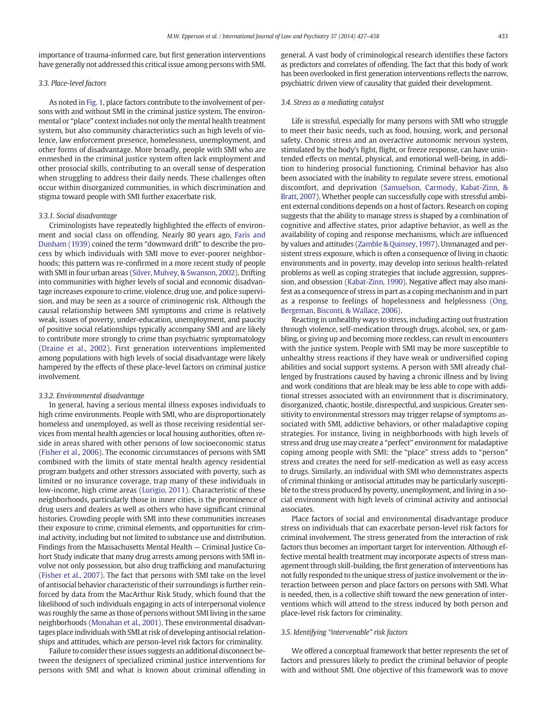importance of trauma-informed care, but first generation interventions have generally not addressed this critical issue among persons with SMI.

#### 3.3. Place-level factors

As noted in Fig. 1, place factors contribute to the involvement of persons with and without SMI in the criminal justice system. The environmental or "place" context includes not only the mental health treatment system, but also community characteristics such as high levels of violence, law enforcement presence, homelessness, unemployment, and other forms of disadvantage. More broadly, people with SMI who are enmeshed in the criminal justice system often lack employment and other prosocial skills, contributing to an overall sense of desperation when struggling to address their daily needs. These challenges often occur within disorganized communities, in which discrimination and stigma toward people with SMI further exacerbate risk.

#### 3.3.1. Social disadvantage

Criminologists have repeatedly highlighted the effects of environment and social class on offending. Nearly 80 years ago, Faris and Dunham (1939) coined the term "downward drift" to describe the process by which individuals with SMI move to ever-poorer neighborhoods; this pattern was re-confirmed in a more recent study of people with SMI in four urban areas (Silver, Mulvey, & Swanson, 2002). Drifting into communities with higher levels of social and economic disadvantage increases exposure to crime, violence, drug use, and police supervision, and may be seen as a source of criminogenic risk. Although the causal relationship between SMI symptoms and crime is relatively weak, issues of poverty, under-education, unemployment, and paucity of positive social relationships typically accompany SMI and are likely to contribute more strongly to crime than psychiatric symptomatology (Draine et al., 2002). First generation interventions implemented among populations with high levels of social disadvantage were likely hampered by the effects of these place-level factors on criminal justice involvement.

#### 3.3.2. Environmental disadvantage

In general, having a serious mental illness exposes individuals to high crime environments. People with SMI, who are disproportionately homeless and unemployed, as well as those receiving residential services from mental health agencies or local housing authorities, often reside in areas shared with other persons of low socioeconomic status (Fisher et al., 2006). The economic circumstances of persons with SMI combined with the limits of state mental health agency residential program budgets and other stressors associated with poverty, such as limited or no insurance coverage, trap many of these individuals in low-income, high crime areas (Lurigio, 2011). Characteristic of these neighborhoods, particularly those in inner cities, is the prominence of drug users and dealers as well as others who have significant criminal histories. Crowding people with SMI into these communities increases their exposure to crime, criminal elements, and opportunities for criminal activity, including but not limited to substance use and distribution. Findings from the Massachusetts Mental Health — Criminal Justice Cohort Study indicate that many drug arrests among persons with SMI involve not only possession, but also drug trafficking and manufacturing (Fisher et al., 2007). The fact that persons with SMI take on the level of antisocial behavior characteristic of their surroundings is further reinforced by data from the MacArthur Risk Study, which found that the likelihood of such individuals engaging in acts of interpersonal violence was roughly the same as those of persons without SMI living in the same neighborhoods (Monahan et al., 2001). These environmental disadvantages place individuals with SMI at risk of developing antisocial relationships and attitudes, which are person-level risk factors for criminality.

Failure to consider these issues suggests an additional disconnect between the designers of specialized criminal justice interventions for persons with SMI and what is known about criminal offending in general. A vast body of criminological research identifies these factors as predictors and correlates of offending. The fact that this body of work has been overlooked in first generation interventions reflects the narrow, psychiatric driven view of causality that guided their development.

#### 3.4. Stress as a mediating catalyst

Life is stressful, especially for many persons with SMI who struggle to meet their basic needs, such as food, housing, work, and personal safety. Chronic stress and an overactive autonomic nervous system, stimulated by the body's fight, flight, or freeze response, can have unintended effects on mental, physical, and emotional well-being, in addition to hindering prosocial functioning. Criminal behavior has also been associated with the inability to regulate severe stress, emotional discomfort, and deprivation (Samuelson, Carmody, Kabat-Zinn, & Bratt, 2007). Whether people can successfully cope with stressful ambient external conditions depends on a host of factors. Research on coping suggests that the ability to manage stress is shaped by a combination of cognitive and affective states, prior adaptive behavior, as well as the availability of coping and response mechanisms, which are influenced by values and attitudes (Zamble & Quinsey, 1997). Unmanaged and persistent stress exposure, which is often a consequence of living in chaotic environments and in poverty, may develop into serious health-related problems as well as coping strategies that include aggression, suppression, and obsession (Kabat-Zinn, 1990). Negative affect may also manifest as a consequence of stress in part as a coping mechanism and in part as a response to feelings of hopelessness and helplessness (Ong, Bergeman, Bisconti, & Wallace, 2006).

Reacting in unhealthy ways to stress, including acting out frustration through violence, self-medication through drugs, alcohol, sex, or gambling, or giving up and becoming more reckless, can result in encounters with the justice system. People with SMI may be more susceptible to unhealthy stress reactions if they have weak or undiversified coping abilities and social support systems. A person with SMI already challenged by frustrations caused by having a chronic illness and by living and work conditions that are bleak may be less able to cope with additional stresses associated with an environment that is discriminatory, disorganized, chaotic, hostile, disrespectful, and suspicious. Greater sensitivity to environmental stressors may trigger relapse of symptoms associated with SMI, addictive behaviors, or other maladaptive coping strategies. For instance, living in neighborhoods with high levels of stress and drug use may create a "perfect" environment for maladaptive coping among people with SMI: the "place" stress adds to "person" stress and creates the need for self-medication as well as easy access to drugs. Similarly, an individual with SMI who demonstrates aspects of criminal thinking or antisocial attitudes may be particularly susceptible to the stress produced by poverty, unemployment, and living in a social environment with high levels of criminal activity and antisocial associates.

Place factors of social and environmental disadvantage produce stress on individuals that can exacerbate person-level risk factors for criminal involvement. The stress generated from the interaction of risk factors thus becomes an important target for intervention. Although effective mental health treatment may incorporate aspects of stress management through skill-building, the first generation of interventions has not fully responded to the unique stress of justice involvement or the interaction between person and place factors on persons with SMI. What is needed, then, is a collective shift toward the new generation of interventions which will attend to the stress induced by both person and place-level risk factors for criminality.

#### 3.5. Identifying "intervenable" risk factors

We offered a conceptual framework that better represents the set of factors and pressures likely to predict the criminal behavior of people with and without SMI. One objective of this framework was to move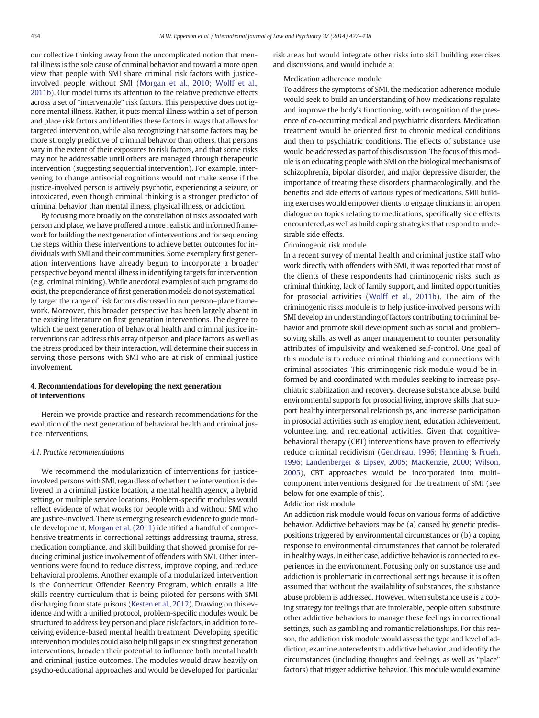our collective thinking away from the uncomplicated notion that mental illness is the sole cause of criminal behavior and toward a more open view that people with SMI share criminal risk factors with justiceinvolved people without SMI (Morgan et al., 2010; Wolff et al., 2011b). Our model turns its attention to the relative predictive effects across a set of "intervenable" risk factors. This perspective does not ignore mental illness. Rather, it puts mental illness within a set of person and place risk factors and identifies these factors in ways that allows for targeted intervention, while also recognizing that some factors may be more strongly predictive of criminal behavior than others, that persons vary in the extent of their exposures to risk factors, and that some risks may not be addressable until others are managed through therapeutic intervention (suggesting sequential intervention). For example, intervening to change antisocial cognitions would not make sense if the justice-involved person is actively psychotic, experiencing a seizure, or intoxicated, even though criminal thinking is a stronger predictor of criminal behavior than mental illness, physical illness, or addiction.

By focusing more broadly on the constellation of risks associated with person and place, we have proffered a more realistic and informed framework for building the next generation of interventions and for sequencing the steps within these interventions to achieve better outcomes for individuals with SMI and their communities. Some exemplary first generation interventions have already begun to incorporate a broader perspective beyond mental illness in identifying targets for intervention (e.g., criminal thinking). While anecdotal examples of such programs do exist, the preponderance of first generation models do not systematically target the range of risk factors discussed in our person–place framework. Moreover, this broader perspective has been largely absent in the existing literature on first generation interventions. The degree to which the next generation of behavioral health and criminal justice interventions can address this array of person and place factors, as well as the stress produced by their interaction, will determine their success in serving those persons with SMI who are at risk of criminal justice involvement.

### 4. Recommendations for developing the next generation of interventions

Herein we provide practice and research recommendations for the evolution of the next generation of behavioral health and criminal justice interventions.

#### 4.1. Practice recommendations

We recommend the modularization of interventions for justiceinvolved persons with SMI, regardless of whether the intervention is delivered in a criminal justice location, a mental health agency, a hybrid setting, or multiple service locations. Problem-specific modules would reflect evidence of what works for people with and without SMI who are justice-involved. There is emerging research evidence to guide module development. Morgan et al. (2011) identified a handful of comprehensive treatments in correctional settings addressing trauma, stress, medication compliance, and skill building that showed promise for reducing criminal justice involvement of offenders with SMI. Other interventions were found to reduce distress, improve coping, and reduce behavioral problems. Another example of a modularized intervention is the Connecticut Offender Reentry Program, which entails a life skills reentry curriculum that is being piloted for persons with SMI discharging from state prisons (Kesten et al., 2012). Drawing on this evidence and with a unified protocol, problem-specific modules would be structured to address key person and place risk factors, in addition to receiving evidence-based mental health treatment. Developing specific intervention modules could also help fill gaps in existing first generation interventions, broaden their potential to influence both mental health and criminal justice outcomes. The modules would draw heavily on psycho-educational approaches and would be developed for particular

risk areas but would integrate other risks into skill building exercises and discussions, and would include a:

#### Medication adherence module

To address the symptoms of SMI, the medication adherence module would seek to build an understanding of how medications regulate and improve the body's functioning, with recognition of the presence of co-occurring medical and psychiatric disorders. Medication treatment would be oriented first to chronic medical conditions and then to psychiatric conditions. The effects of substance use would be addressed as part of this discussion. The focus of this module is on educating people with SMI on the biological mechanisms of schizophrenia, bipolar disorder, and major depressive disorder, the importance of treating these disorders pharmacologically, and the benefits and side effects of various types of medications. Skill building exercises would empower clients to engage clinicians in an open dialogue on topics relating to medications, specifically side effects encountered, as well as build coping strategies that respond to undesirable side effects.

### Criminogenic risk module

In a recent survey of mental health and criminal justice staff who work directly with offenders with SMI, it was reported that most of the clients of these respondents had criminogenic risks, such as criminal thinking, lack of family support, and limited opportunities for prosocial activities (Wolff et al., 2011b). The aim of the criminogenic risks module is to help justice-involved persons with SMI develop an understanding of factors contributing to criminal behavior and promote skill development such as social and problemsolving skills, as well as anger management to counter personality attributes of impulsivity and weakened self-control. One goal of this module is to reduce criminal thinking and connections with criminal associates. This criminogenic risk module would be informed by and coordinated with modules seeking to increase psychiatric stabilization and recovery, decrease substance abuse, build environmental supports for prosocial living, improve skills that support healthy interpersonal relationships, and increase participation in prosocial activities such as employment, education achievement, volunteering, and recreational activities. Given that cognitivebehavioral therapy (CBT) interventions have proven to effectively reduce criminal recidivism (Gendreau, 1996; Henning & Frueh, 1996; Landenberger & Lipsey, 2005; MacKenzie, 2000; Wilson, 2005), CBT approaches would be incorporated into multicomponent interventions designed for the treatment of SMI (see below for one example of this).

#### Addiction risk module

An addiction risk module would focus on various forms of addictive behavior. Addictive behaviors may be (a) caused by genetic predispositions triggered by environmental circumstances or (b) a coping response to environmental circumstances that cannot be tolerated in healthy ways. In either case, addictive behavior is connected to experiences in the environment. Focusing only on substance use and addiction is problematic in correctional settings because it is often assumed that without the availability of substances, the substance abuse problem is addressed. However, when substance use is a coping strategy for feelings that are intolerable, people often substitute other addictive behaviors to manage these feelings in correctional settings, such as gambling and romantic relationships. For this reason, the addiction risk module would assess the type and level of addiction, examine antecedents to addictive behavior, and identify the circumstances (including thoughts and feelings, as well as "place" factors) that trigger addictive behavior. This module would examine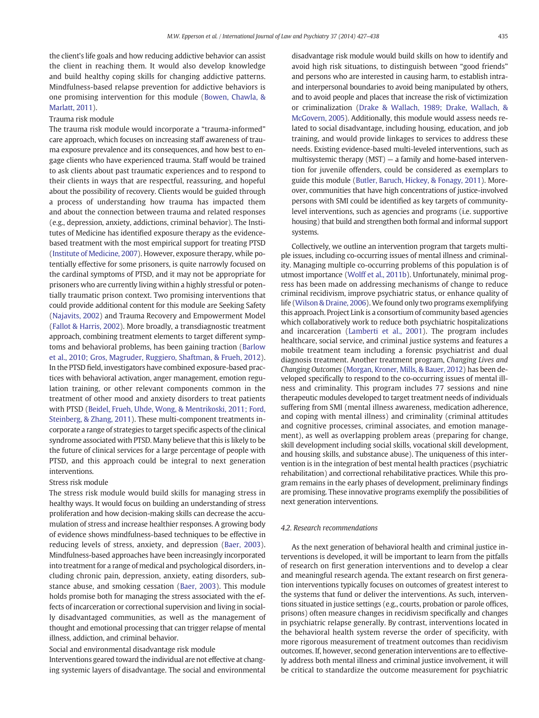the client's life goals and how reducing addictive behavior can assist the client in reaching them. It would also develop knowledge and build healthy coping skills for changing addictive patterns. Mindfulness-based relapse prevention for addictive behaviors is one promising intervention for this module (Bowen, Chawla, & Marlatt, 2011).

#### Trauma risk module

The trauma risk module would incorporate a "trauma-informed" care approach, which focuses on increasing staff awareness of trauma exposure prevalence and its consequences, and how best to engage clients who have experienced trauma. Staff would be trained to ask clients about past traumatic experiences and to respond to their clients in ways that are respectful, reassuring, and hopeful about the possibility of recovery. Clients would be guided through a process of understanding how trauma has impacted them and about the connection between trauma and related responses (e.g., depression, anxiety, addictions, criminal behavior). The Institutes of Medicine has identified exposure therapy as the evidencebased treatment with the most empirical support for treating PTSD (Institute of Medicine, 2007). However, exposure therapy, while potentially effective for some prisoners, is quite narrowly focused on the cardinal symptoms of PTSD, and it may not be appropriate for prisoners who are currently living within a highly stressful or potentially traumatic prison context. Two promising interventions that could provide additional content for this module are Seeking Safety (Najavits, 2002) and Trauma Recovery and Empowerment Model (Fallot & Harris, 2002). More broadly, a transdiagnostic treatment approach, combining treatment elements to target different symptoms and behavioral problems, has been gaining traction (Barlow et al., 2010; Gros, Magruder, Ruggiero, Shaftman, & Frueh, 2012). In the PTSD field, investigators have combined exposure-based practices with behavioral activation, anger management, emotion regulation training, or other relevant components common in the treatment of other mood and anxiety disorders to treat patients with PTSD (Beidel, Frueh, Uhde, Wong, & Mentrikoski, 2011; Ford, Steinberg, & Zhang, 2011). These multi-component treatments incorporate a range of strategies to target specific aspects of the clinical syndrome associated with PTSD. Many believe that this is likely to be the future of clinical services for a large percentage of people with PTSD, and this approach could be integral to next generation interventions.

#### Stress risk module

The stress risk module would build skills for managing stress in healthy ways. It would focus on building an understanding of stress proliferation and how decision-making skills can decrease the accumulation of stress and increase healthier responses. A growing body of evidence shows mindfulness-based techniques to be effective in reducing levels of stress, anxiety, and depression (Baer, 2003). Mindfulness-based approaches have been increasingly incorporated into treatment for a range of medical and psychological disorders, including chronic pain, depression, anxiety, eating disorders, substance abuse, and smoking cessation (Baer, 2003). This module holds promise both for managing the stress associated with the effects of incarceration or correctional supervision and living in socially disadvantaged communities, as well as the management of thought and emotional processing that can trigger relapse of mental illness, addiction, and criminal behavior.

Social and environmental disadvantage risk module

Interventions geared toward the individual are not effective at changing systemic layers of disadvantage. The social and environmental disadvantage risk module would build skills on how to identify and avoid high risk situations, to distinguish between "good friends" and persons who are interested in causing harm, to establish intraand interpersonal boundaries to avoid being manipulated by others, and to avoid people and places that increase the risk of victimization or criminalization (Drake & Wallach, 1989; Drake, Wallach, & McGovern, 2005). Additionally, this module would assess needs related to social disadvantage, including housing, education, and job training, and would provide linkages to services to address these needs. Existing evidence-based multi-leveled interventions, such as multisystemic therapy (MST) — a family and home-based intervention for juvenile offenders, could be considered as exemplars to guide this module (Butler, Baruch, Hickey, & Fonagy, 2011). Moreover, communities that have high concentrations of justice-involved persons with SMI could be identified as key targets of communitylevel interventions, such as agencies and programs (i.e. supportive housing) that build and strengthen both formal and informal support systems.

Collectively, we outline an intervention program that targets multiple issues, including co-occurring issues of mental illness and criminality. Managing multiple co-occurring problems of this population is of utmost importance (Wolff et al., 2011b). Unfortunately, minimal progress has been made on addressing mechanisms of change to reduce criminal recidivism, improve psychiatric status, or enhance quality of life (Wilson & Draine, 2006).We found only two programs exemplifying this approach. Project Link is a consortium of community based agencies which collaboratively work to reduce both psychiatric hospitalizations and incarceration (Lamberti et al., 2001). The program includes healthcare, social service, and criminal justice systems and features a mobile treatment team including a forensic psychiatrist and dual diagnosis treatment. Another treatment program, Changing Lives and Changing Outcomes (Morgan, Kroner, Mills, & Bauer, 2012) has been developed specifically to respond to the co-occurring issues of mental illness and criminality. This program includes 77 sessions and nine therapeutic modules developed to target treatment needs of individuals suffering from SMI (mental illness awareness, medication adherence, and coping with mental illness) and criminality (criminal attitudes and cognitive processes, criminal associates, and emotion management), as well as overlapping problem areas (preparing for change, skill development including social skills, vocational skill development, and housing skills, and substance abuse). The uniqueness of this intervention is in the integration of best mental health practices (psychiatric rehabilitation) and correctional rehabilitative practices. While this program remains in the early phases of development, preliminary findings are promising. These innovative programs exemplify the possibilities of next generation interventions.

#### 4.2. Research recommendations

As the next generation of behavioral health and criminal justice interventions is developed, it will be important to learn from the pitfalls of research on first generation interventions and to develop a clear and meaningful research agenda. The extant research on first generation interventions typically focuses on outcomes of greatest interest to the systems that fund or deliver the interventions. As such, interventions situated in justice settings (e.g., courts, probation or parole offices, prisons) often measure changes in recidivism specifically and changes in psychiatric relapse generally. By contrast, interventions located in the behavioral health system reverse the order of specificity, with more rigorous measurement of treatment outcomes than recidivism outcomes. If, however, second generation interventions are to effectively address both mental illness and criminal justice involvement, it will be critical to standardize the outcome measurement for psychiatric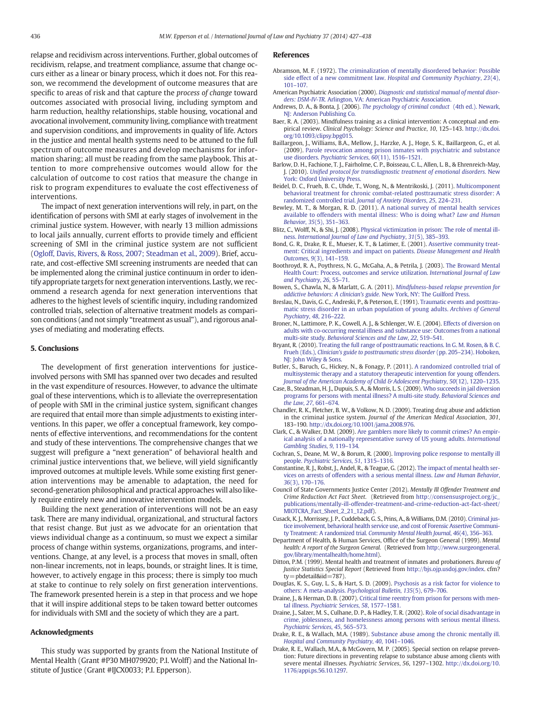relapse and recidivism across interventions. Further, global outcomes of recidivism, relapse, and treatment compliance, assume that change occurs either as a linear or binary process, which it does not. For this reason, we recommend the development of outcome measures that are specific to areas of risk and that capture the process of change toward outcomes associated with prosocial living, including symptom and harm reduction, healthy relationships, stable housing, vocational and avocational involvement, community living, compliance with treatment and supervision conditions, and improvements in quality of life. Actors in the justice and mental health systems need to be attuned to the full spectrum of outcome measures and develop mechanisms for information sharing; all must be reading from the same playbook. This attention to more comprehensive outcomes would allow for the calculation of outcome to cost ratios that measure the change in risk to program expenditures to evaluate the cost effectiveness of interventions.

The impact of next generation interventions will rely, in part, on the identification of persons with SMI at early stages of involvement in the criminal justice system. However, with nearly 13 million admissions to local jails annually, current efforts to provide timely and efficient screening of SMI in the criminal justice system are not sufficient (Ogloff, Davis, Rivers, & Ross, 2007; Steadman et al., 2009). Brief, accurate, and cost-effective SMI screening instruments are needed that can be implemented along the criminal justice continuum in order to identify appropriate targets for next generation interventions. Lastly, we recommend a research agenda for next generation interventions that adheres to the highest levels of scientific inquiry, including randomized controlled trials, selection of alternative treatment models as comparison conditions (and not simply "treatment as usual"), and rigorous analyses of mediating and moderating effects.

#### 5. Conclusions

The development of first generation interventions for justiceinvolved persons with SMI has spanned over two decades and resulted in the vast expenditure of resources. However, to advance the ultimate goal of these interventions, which is to alleviate the overrepresentation of people with SMI in the criminal justice system, significant changes are required that entail more than simple adjustments to existing interventions. In this paper, we offer a conceptual framework, key components of effective interventions, and recommendations for the content and study of these interventions. The comprehensive changes that we suggest will prefigure a "next generation" of behavioral health and criminal justice interventions that, we believe, will yield significantly improved outcomes at multiple levels. While some existing first generation interventions may be amenable to adaptation, the need for second-generation philosophical and practical approaches will also likely require entirely new and innovative intervention models.

Building the next generation of interventions will not be an easy task. There are many individual, organizational, and structural factors that resist change. But just as we advocate for an orientation that views individual change as a continuum, so must we expect a similar process of change within systems, organizations, programs, and interventions. Change, at any level, is a process that moves in small, often non-linear increments, not in leaps, bounds, or straight lines. It is time, however, to actively engage in this process; there is simply too much at stake to continue to rely solely on first generation interventions. The framework presented herein is a step in that process and we hope that it will inspire additional steps to be taken toward better outcomes for individuals with SMI and the society of which they are a part.

#### Acknowledgments

This study was supported by grants from the National Institute of Mental Health (Grant #P30 MH079920; P.I. Wolff) and the National Institute of Justice (Grant #IJCX0033; P.I. Epperson).

#### References

- Abramson, M. F. (1972). [The criminalization of mentally disordered behavior: Possible](http://refhub.elsevier.com/S0160-2527(14)00026-0/rf0005) [side effect of a new commitment law.](http://refhub.elsevier.com/S0160-2527(14)00026-0/rf0005) Hospital and Community Psychiatry, 23(4), 101–[107.](http://refhub.elsevier.com/S0160-2527(14)00026-0/rf0005)
- American Psychiatric Association (2000). [Diagnostic and statistical manual of mental disor](http://refhub.elsevier.com/S0160-2527(14)00026-0/rf0010)ders: DSM-IV-TR. [Arlington, VA: American Psychiatric Association.](http://refhub.elsevier.com/S0160-2527(14)00026-0/rf0010)
- Andrews, D. A., & Bonta, J. (2006). [The psychology of criminal conduct](http://refhub.elsevier.com/S0160-2527(14)00026-0/rf0015) (4th ed.). Newark, [NJ: Anderson Publishing Co.](http://refhub.elsevier.com/S0160-2527(14)00026-0/rf0015)
- Baer, R. A. (2003). Mindfulness training as a clinical intervention: A conceptual and empirical review. Clinical Psychology: Science and Practice, 10, 125–143. http://dx.doi. org[/10.1093/clipsy.bpg015.](http://dx.doi.org/10.1093/clipsy.bpg015)
- Baillargeon, J., Williams, B.A., Mellow, J., Harzke, A. J., Hoge, S. K., Baillargeon, G., et al. (2009). [Parole revocation among prison inmates with psychiatric and substance](http://refhub.elsevier.com/S0160-2527(14)00026-0/rf0025) use disorders. [Psychiatric Services](http://refhub.elsevier.com/S0160-2527(14)00026-0/rf0025), 60(11), 1516-1521.
- Barlow, D. H., Fachione, T. J., Fairholme, C. P., Boisseau, C. L., Allen, L. B., & Ehrenreich-May, J. (2010). Unifi[ed protocol for transdiagnostic treatment of emotional disorders.](http://refhub.elsevier.com/S0160-2527(14)00026-0/rf0030) New [York: Oxford University Press.](http://refhub.elsevier.com/S0160-2527(14)00026-0/rf0030)
- Beidel, D. C., Frueh, B. C., Uhde, T., Wong, N., & Mentrikoski, J. (2011). [Multicomponent](http://refhub.elsevier.com/S0160-2527(14)00026-0/rf0035) [behavioral treatment for chronic combat-related posttraumatic stress disorder: A](http://refhub.elsevier.com/S0160-2527(14)00026-0/rf0035) [randomized controlled trial.](http://refhub.elsevier.com/S0160-2527(14)00026-0/rf0035) Journal of Anxiety Disorders, 25, 224–231.
- Bewley, M. T., & Morgan, R. D. (2011). [A national survey of mental health services](http://refhub.elsevier.com/S0160-2527(14)00026-0/rf0040) [available to offenders with mental illness: Who is doing what?](http://refhub.elsevier.com/S0160-2527(14)00026-0/rf0040) Law and Human [Behavior](http://refhub.elsevier.com/S0160-2527(14)00026-0/rf0040), 35(5), 351–363.
- Blitz, C., Wolff, N., & Shi, J. (2008). [Physical victimization in prison: The role of mental ill](http://refhub.elsevier.com/S0160-2527(14)00026-0/rf0045)ness. [International Journal of Law and Psychiatry](http://refhub.elsevier.com/S0160-2527(14)00026-0/rf0045), 31(5), 385–393.
- Bond, G. R., Drake, R. E., Mueser, K. T., & Latimer, E. (2001). [Assertive community treat](http://refhub.elsevier.com/S0160-2527(14)00026-0/rf0050)[ment: Critical ingredients and impact on patients.](http://refhub.elsevier.com/S0160-2527(14)00026-0/rf0050) Disease Management and Health [Outcomes](http://refhub.elsevier.com/S0160-2527(14)00026-0/rf0050), 9(3), 141–159.
- Boothroyd, R. A., Poythress, N. G., McGaha, A., & Petrila, J. (2003). [The Broward Mental](http://refhub.elsevier.com/S0160-2527(14)00026-0/rf0055) [Health Court: Process, outcomes and service utilization.](http://refhub.elsevier.com/S0160-2527(14)00026-0/rf0055) International Journal of Law [and Psychiatry](http://refhub.elsevier.com/S0160-2527(14)00026-0/rf0055), 26, 55–71.
- Bowen, S., Chawla, N., & Marlatt, G. A. (2011). [Mindfulness-based relapse prevention for](http://refhub.elsevier.com/S0160-2527(14)00026-0/rf0060) [addictive behaviors: A clinician's guide.](http://refhub.elsevier.com/S0160-2527(14)00026-0/rf0060) New York, NY: The Guilford Press.
- Breslau, N., Davis, G. C., Andreski, P., & Peterson, E. (1991). [Traumatic events and posttrau](http://refhub.elsevier.com/S0160-2527(14)00026-0/rf0065)[matic stress disorder in an urban population of young adults.](http://refhub.elsevier.com/S0160-2527(14)00026-0/rf0065) Archives of General [Psychiatry](http://refhub.elsevier.com/S0160-2527(14)00026-0/rf0065), 48, 216–222.
- Broner, N., Lattimore, P. K., Cowell, A. J., & Schlenger, W. E. (2004). [Effects of diversion on](http://refhub.elsevier.com/S0160-2527(14)00026-0/rf0070) [adults with co-occurring mental illness and substance use: Outcomes from a national](http://refhub.elsevier.com/S0160-2527(14)00026-0/rf0070) multi-site study. [Behavioral Sciences and the Law](http://refhub.elsevier.com/S0160-2527(14)00026-0/rf0070), 22, 519–541.
- Bryant, R. (2010). [Treating the full range of posttraumatic reactions. In G. M. Rosen, & B. C.](http://refhub.elsevier.com/S0160-2527(14)00026-0/rf0075) Frueh (Eds.), [Clinician's guide to posttraumatic stress disorder](http://refhub.elsevier.com/S0160-2527(14)00026-0/rf0075) (pp. 205–234). Hoboken, NI: John Wiley & Sons.
- Butler, S., Baruch, G., Hickey, N., & Fonagy, P. (2011). [A randomized controlled trial of](http://refhub.elsevier.com/S0160-2527(14)00026-0/rf0080) [multisystemic therapy and a statutory therapeutic intervention for young offenders.](http://refhub.elsevier.com/S0160-2527(14)00026-0/rf0080) [Journal of the American Academy of Child & Adolescent Psychiatry](http://refhub.elsevier.com/S0160-2527(14)00026-0/rf0080), 50(12), 1220-1235.
- Case, B., Steadman, H. J., Dupuis, S. A., & Morris, L. S. (2009). [Who succeeds in jail diversion](http://refhub.elsevier.com/S0160-2527(14)00026-0/rf0085) [programs for persons with mental illness? A multi-site study.](http://refhub.elsevier.com/S0160-2527(14)00026-0/rf0085) Behavioral Sciences and [the Law](http://refhub.elsevier.com/S0160-2527(14)00026-0/rf0085), 27, 661–674.
- Chandler, R. K., Fletcher, B. W., & Volkow, N. D. (2009). Treating drug abuse and addiction in the criminal justice system. Journal of the American Medical Association, 301, 183–190. http://dx.doi.org/[10.1001/jama.2008.976](http://dx.doi.org/10.1001/jama.2008.976).
- Clark, C., & Walker, D.M. (2009). [Are gamblers more likely to commit crimes? An empir](http://refhub.elsevier.com/S0160-2527(14)00026-0/rf0095)[ical analysis of a nationally representative survey of US young adults.](http://refhub.elsevier.com/S0160-2527(14)00026-0/rf0095) International [Gambling Studies](http://refhub.elsevier.com/S0160-2527(14)00026-0/rf0095), 9, 119–134.
- Cochran, S., Deane, M. W., & Borum, R. (2000). [Improving police response to mentally ill](http://refhub.elsevier.com/S0160-2527(14)00026-0/rf0100) people. [Psychiatric Services](http://refhub.elsevier.com/S0160-2527(14)00026-0/rf0100), 51, 1315–1316.
- Constantine, R. J., Robst, J., Andel, R., & Teague, G. (2012). [The impact of mental health ser](http://refhub.elsevier.com/S0160-2527(14)00026-0/rf0105)[vices on arrests of offenders with a serious mental illness.](http://refhub.elsevier.com/S0160-2527(14)00026-0/rf0105) Law and Human Behavior, 36[\(3\), 170](http://refhub.elsevier.com/S0160-2527(14)00026-0/rf0105)–176.
- Council of State Governments Justice Center (2012). Mentally Ill Offender Treatment and Crime Reduction Act Fact Sheet. (Retrieved from [http://consensusproject.org/jc\\_](http://consensusproject.org/jc_publications/mentally-ill-offender-treatment-and-crime-reduction-act-fact-sheet/MIOTCRA_Fact_Sheet_2_21_12.pdf) [publications/mentally-ill-offender-treatment-and-crime-reduction-act-fact-sheet/](http://consensusproject.org/jc_publications/mentally-ill-offender-treatment-and-crime-reduction-act-fact-sheet/MIOTCRA_Fact_Sheet_2_21_12.pdf) [MIOTCRA\\_Fact\\_Sheet\\_2\\_21\\_12.pdf\)](http://consensusproject.org/jc_publications/mentally-ill-offender-treatment-and-crime-reduction-act-fact-sheet/MIOTCRA_Fact_Sheet_2_21_12.pdf).
- Cusack, K. J., Morrissey, J. P., Cuddeback, G. S., Prins, A., & Williams, D.M. (2010). [Criminal jus](http://refhub.elsevier.com/S0160-2527(14)00026-0/rf0110)[tice involvement, behavioral health service use, and cost of Forensic Assertive Communi](http://refhub.elsevier.com/S0160-2527(14)00026-0/rf0110)[ty Treatment: A randomized trial.](http://refhub.elsevier.com/S0160-2527(14)00026-0/rf0110) Community Mental Health Journal, 46(4), 356–363.
- Department of Health, & Human Services, Office of the Surgeon General (1999). Mental health: A report of the Surgeon General. (Retrieved from [http://www.surgeongeneral.](http://www.surgeongeneral.gov/library/mentalhealth/home.html) [gov/library/mentalhealth/home.html](http://www.surgeongeneral.gov/library/mentalhealth/home.html)).
- Ditton, P.M. (1999). Mental health and treatment of inmates and probationers. Bureau of Justice Statistics Special Report (Retrieved from <http://bjs.ojp.usdoj.gov/index>. cfm? ty=pbdetail&iid=787).
- Douglas, K. S., Guy, L. S., & Hart, S. D. (2009). [Psychosis as a risk factor for violence to](http://refhub.elsevier.com/S0160-2527(14)00026-0/rf0115) [others: A meta-analysis.](http://refhub.elsevier.com/S0160-2527(14)00026-0/rf0115) Psychological Bulletin, 135(5), 679–706.
- Draine, J., & Herman, D. B. (2007). [Critical time reentry from prison for persons with men](http://refhub.elsevier.com/S0160-2527(14)00026-0/rf0120)tal illness. [Psychiatric Services](http://refhub.elsevier.com/S0160-2527(14)00026-0/rf0120), 58, 1577–1581.
- Draine, J., Salzer, M. S., Culhane, D. P., & Hadley, T. R. (2002). [Role of social disadvantage in](http://refhub.elsevier.com/S0160-2527(14)00026-0/rf0125) [crime, joblessness, and homelessness among persons with serious mental illness.](http://refhub.elsevier.com/S0160-2527(14)00026-0/rf0125) [Psychiatric Services](http://refhub.elsevier.com/S0160-2527(14)00026-0/rf0125), 45, 565–573.
- Drake, R. E., & Wallach, M.A. (1989). [Substance abuse among the chronic mentally ill.](http://refhub.elsevier.com/S0160-2527(14)00026-0/rf0130) [Hospital and Community Psychiatry](http://refhub.elsevier.com/S0160-2527(14)00026-0/rf0130), 40, 1041–1046.
- Drake, R. E., Wallach, M.A., & McGovern, M. P. (2005). Special section on relapse prevention: Future directions in preventing relapse to substance abuse among clients with severe mental illnesses. Psychiatric Services, 56, 1297–1302. http://dx.doi.org/[10.](http://dx.doi.org/10.1176/appi.ps.56.10.1297) [1176/appi.ps.56.10.1297.](http://dx.doi.org/10.1176/appi.ps.56.10.1297)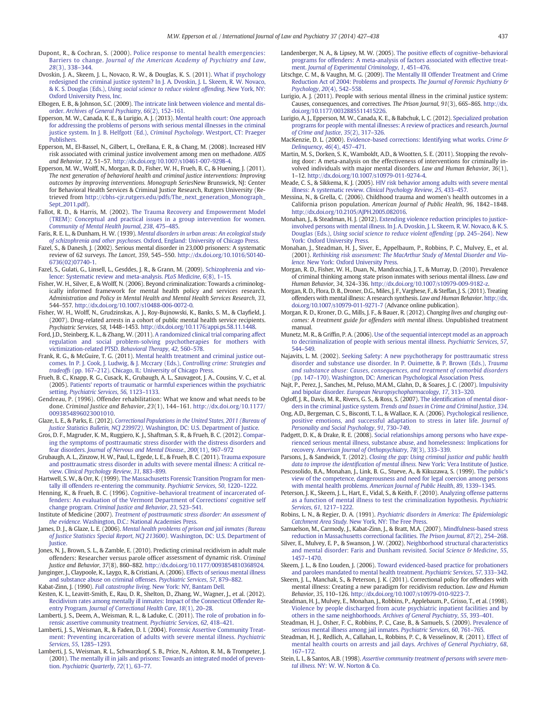- Dupont, R., & Cochran, S. (2000). [Police response to mental health emergencies:](http://refhub.elsevier.com/S0160-2527(14)00026-0/rf0140) Barriers to change. [Journal of the American Academy of Psychiatry and Law](http://refhub.elsevier.com/S0160-2527(14)00026-0/rf0140), 28[\(3\), 338](http://refhub.elsevier.com/S0160-2527(14)00026-0/rf0140)–344.
- Dvoskin, J. A., Skeem, J. L., Novaco, R. W., & Douglas, K. S. (2011). [What if psychology](http://refhub.elsevier.com/S0160-2527(14)00026-0/rf0145) [redesigned the criminal justice system? In J. A. Dvoskin, J. L. Skeem, R. W. Novaco,](http://refhub.elsevier.com/S0160-2527(14)00026-0/rf0145) & K. S. Douglas (Eds.), [Using social science to reduce violent offending](http://refhub.elsevier.com/S0160-2527(14)00026-0/rf0145). New York, NY: [Oxford University Press, Inc.](http://refhub.elsevier.com/S0160-2527(14)00026-0/rf0145)
- Elbogen, E. B., & Johnson, S.C. (2009). [The intricate link between violence and mental dis-](http://refhub.elsevier.com/S0160-2527(14)00026-0/rf0150)
- order. [Archives of General Psychiatry](http://refhub.elsevier.com/S0160-2527(14)00026-0/rf0150), 66(2), 152–161. Epperson, M. W., Canada, K. E., & Lurigio, A. J. (2013). [Mental health court: One approach](http://refhub.elsevier.com/S0160-2527(14)00026-0/rf3550) [for addressing the problems of persons with serious mental illnesses in the criminal](http://refhub.elsevier.com/S0160-2527(14)00026-0/rf3550) [justice system. In J. B. Helfgott \(Ed.\),](http://refhub.elsevier.com/S0160-2527(14)00026-0/rf3550) Criminal Psychology. Westport, CT: Praeger [Publishers.](http://refhub.elsevier.com/S0160-2527(14)00026-0/rf3550)
- Epperson, M., El-Bassel, N., Gilbert, L., Orellana, E. R., & Chang, M. (2008). Increased HIV risk associated with criminal justice involvement among men on methadone. AIDS and Behavior, 12, 51–57. http://dx.doi.org/[10.1007/s10461-007-9298-4](http://dx.doi.org/10.1007/s10461-007-9298-4).
- Epperson, M. W., Wolff, N., Morgan, R. D., Fisher, W. H., Frueh, B. C., & Huening, J. (2011). The next generation of behavioral health and criminal justice interventions: Improving outcomes by improving interventions. Monograph SeriesNew Brunswick, NJ: Center for Behavioral Health Services & Criminal Justice Research, Rutgers University (Retrieved from [http://cbhs-cjr.rutgers.edu/pdfs/The\\_next\\_generation\\_Monograph\\_](http://cbhs-cjr.rutgers.edu/pdfs/The_next_generation_Monograph_Sept_2011.pdf) Sept. 2011.pdf).
- Fallot, R. D., & Harris, M. (2002). [The Trauma Recovery and Empowerment Model](http://refhub.elsevier.com/S0160-2527(14)00026-0/rf0160) [\(TREM\): Conceptual and practical issues in a group intervention for women.](http://refhub.elsevier.com/S0160-2527(14)00026-0/rf0160) [Community of Mental Health Journal](http://refhub.elsevier.com/S0160-2527(14)00026-0/rf0160), 238, 475–485.
- Faris, R. E. L., & Dunham, H. W. (1939). [Mental disorders in urban areas: An ecological study](http://refhub.elsevier.com/S0160-2527(14)00026-0/rf0165) of schizophrenia and other psychoses. [Oxford, England: University of Chicago Press.](http://refhub.elsevier.com/S0160-2527(14)00026-0/rf0165)
- Fazel, S., & Danesh, J. (2002). Serious mental disorder in 23,000 prisoners: A systematic review of 62 surveys. The Lancet, 359, 545–550. http://dx.doi.org[/10.1016/S0140-](http://dx.doi.org/10.1016/S0140-6736(02)07740-1) [6736\(02\)07740-1](http://dx.doi.org/10.1016/S0140-6736(02)07740-1).
- Fazel, S., Gulati, G., Linsell, L., Gesddes, J. R., & Grann, M. (2009). [Schizophrenia and vio](http://refhub.elsevier.com/S0160-2527(14)00026-0/rf0175)[lence: Systematic review and meta-analysis.](http://refhub.elsevier.com/S0160-2527(14)00026-0/rf0175) PLoS Medicine, 6(8), 1–15.
- Fisher, W. H., Silver, E., & Wolff, N. (2006). Beyond criminalization: Towards a criminologically informed framework for mental health policy and services research. Administration and Policy in Mental Health and Mental Health Services Research, 33, 544–557. http://dx.doi.org[/10.1007/s10488-006-0072-0.](http://dx.doi.org/10.1007/s10488-006-0072-0)
- Fisher, W. H., Wolff, N., Grudzinskas, A. J., Roy-Bujnowski, K., Banks, S. M., & Clayfield, J. (2007). Drug-related arrests in a cohort of public mental health service recipients. Psychiatric Services, 58, 1448–1453. http://dx.doi.org[/10.1176/appi.ps.58.11.1448.](http://dx.doi.org/10.1176/appi.ps.58.11.1448)
- Ford, J.D., Steinberg, K. L., & Zhang, W. (2011). [A randomized clinical trial comparing affect](http://refhub.elsevier.com/S0160-2527(14)00026-0/rf0190) [regulation and social problem-solving psychotherapies for mothers with](http://refhub.elsevier.com/S0160-2527(14)00026-0/rf0190) [victimization-related PTSD.](http://refhub.elsevier.com/S0160-2527(14)00026-0/rf0190) Behavioral Therapy, 42, 560–578.
- Frank, R. G., & McGuire, T. G. (2011). [Mental health treatment and criminal justice out](http://refhub.elsevier.com/S0160-2527(14)00026-0/rf0195)[comes. In P. J. Cook, J. Ludwig, & J. Mccrary \(Eds.\),](http://refhub.elsevier.com/S0160-2527(14)00026-0/rf0195) Controlling crime: Strategies and tradeoffs (pp. 167–[212\). Chicago, IL: University of Chicago Press.](http://refhub.elsevier.com/S0160-2527(14)00026-0/rf0195)
- Frueh, B. C., Knapp, R. G., Cusack, K., Grubaugh, A. L., Sauvageot, J. A., Cousins, V. C., et al. (2005). [Patients' reports of traumatic or harmful experiences within the psychiatric](http://refhub.elsevier.com/S0160-2527(14)00026-0/rf0200) setting. [Psychiatric Services](http://refhub.elsevier.com/S0160-2527(14)00026-0/rf0200), 56, 1123-1133.
- Gendreau, P. (1996). Offender rehabilitation: What we know and what needs to be done. Criminal Justice and Behavior, 23(1), 144–161. http://dx.doi.org/[10.1177/](http://dx.doi.org/10.1177/0093854896023001010) [0093854896023001010.](http://dx.doi.org/10.1177/0093854896023001010)
- Glaze, L. E., & Parks, E. (2012). [Correctional Populations in the United States, 2011 \(Bureau of](http://refhub.elsevier.com/S0160-2527(14)00026-0/rf0210) Justice Statistics Bulletin, NCJ 239972). [Washington, DC: U.S. Department of Justice.](http://refhub.elsevier.com/S0160-2527(14)00026-0/rf0210)
- Gros, D. F., Magruder, K. M., Ruggiero, K. J., Shaftman, S. R., & Frueh, B. C. (2012). [Compar](http://refhub.elsevier.com/S0160-2527(14)00026-0/rf0560)[ing the symptoms of posttraumatic stress disorder with the distress disorders and](http://refhub.elsevier.com/S0160-2527(14)00026-0/rf0560) fear disorders. [Journal of Nervous and Mental Disease.](http://refhub.elsevier.com/S0160-2527(14)00026-0/rf0560), 200(11), 967–972
- Grubaugh, A. L., Zinzow, H. W., Paul, L., Egede, L. E., & Frueh, B. C. (2011). [Trauma exposure](http://refhub.elsevier.com/S0160-2527(14)00026-0/rf0215) [and posttraumatic stress disorder in adults with severe mental illness: A critical re](http://refhub.elsevier.com/S0160-2527(14)00026-0/rf0215)view. [Clinical Psychology Review](http://refhub.elsevier.com/S0160-2527(14)00026-0/rf0215), 31, 883–899.
- Hartwell, S. W., & Orr, K. (1999). [The Massachusetts Forensic Transition Program for men](http://refhub.elsevier.com/S0160-2527(14)00026-0/rf0220)[tally ill offenders re-entering the community.](http://refhub.elsevier.com/S0160-2527(14)00026-0/rf0220) Psychiatric Services, 50, 1220–1222.
- Henning, K., & Frueh, B. C. (1996). Cognitive–[behavioral treatment of incarcerated of](http://refhub.elsevier.com/S0160-2527(14)00026-0/rf0225)[fenders: An evaluation of the Vermont Department of Corrections' cognitive self](http://refhub.elsevier.com/S0160-2527(14)00026-0/rf0225) change program. [Criminal Justice and Behavior](http://refhub.elsevier.com/S0160-2527(14)00026-0/rf0225), 23, 523–541.
- Institute of Medicine (2007). [Treatment of posttraumatic stress disorder: An assessment of](http://refhub.elsevier.com/S0160-2527(14)00026-0/rf0230) the evidence. [Washington, D.C.: National Academies Press.](http://refhub.elsevier.com/S0160-2527(14)00026-0/rf0230)
- James, D. J., & Glaze, L. E. (2006). [Mental health problems of prison and jail inmates \(Bureau](http://refhub.elsevier.com/S0160-2527(14)00026-0/rf0235) [of Justice Statistics Special Report, NCJ 213600\).](http://refhub.elsevier.com/S0160-2527(14)00026-0/rf0235) Washington, DC: U.S. Department of **Justice**
- Jones, N. J., Brown, S. L., & Zamble, E. (2010). Predicting criminal recidivism in adult male offenders: Researcher versus parole officer assessment of dynamic risk. Criminal Justice and Behavior, 37(8), 860–882. http://dx.doi.org[/10.1177/0093854810368924.](http://dx.doi.org/10.1177/0093854810368924)
- Junginger, J., Claypoole, K., Laygo, R., & Cristiani, A. (2006). [Effects of serious mental illness](http://refhub.elsevier.com/S0160-2527(14)00026-0/rf0245) [and substance abuse on criminal offenses.](http://refhub.elsevier.com/S0160-2527(14)00026-0/rf0245) Psychiatric Services, 57, 879–882.
- Kabat-Zinn, J. (1990). Full catastrophe living. [New York: NY, Bantam Dell.](http://refhub.elsevier.com/S0160-2527(14)00026-0/rf0250)
- Kesten, K. L., Leavitt-Smith, E., Rau, D. R., Shelton, D., Zhang, W., Wagner, J., et al. (2012). [Recidivism rates among mentally ill inmates: Impact of the Connecticut Offender Re](http://refhub.elsevier.com/S0160-2527(14)00026-0/rf0255)entry Program. [Journal of Correctional Health Care](http://refhub.elsevier.com/S0160-2527(14)00026-0/rf0255), 18(1), 20–28.
- Lamberti, J. S., Deem, A., Weisman, R. L., & Laduke, C. (2011). [The role of probation in fo](http://refhub.elsevier.com/S0160-2527(14)00026-0/rf0260)[rensic assertive community treatment.](http://refhub.elsevier.com/S0160-2527(14)00026-0/rf0260) Psychiatric Services, 62, 418–421.
- Lamberti, J. S., Weisman, R., & Faden, D. I. (2004). [Forensic Assertive Community Treat](http://refhub.elsevier.com/S0160-2527(14)00026-0/rf0265)[ment: Preventing incarceration of adults with severe mental illness.](http://refhub.elsevier.com/S0160-2527(14)00026-0/rf0265) Psychiatric [Services](http://refhub.elsevier.com/S0160-2527(14)00026-0/rf0265), 55, 1285–1293.
- Lamberti, J. S., Weisman, R. L., Schwarzkopf, S. B., Price, N., Ashton, R. M., & Trompeter, J. (2001). [The mentally ill in jails and prisons: Towards an integrated model of preven](http://refhub.elsevier.com/S0160-2527(14)00026-0/rf0270)tion. [Psychiatric Quarterly](http://refhub.elsevier.com/S0160-2527(14)00026-0/rf0270), 72(1), 63–77.
- Landenberger, N. A., & Lipsey, M. W. (2005). [The positive effects of cognitive](http://refhub.elsevier.com/S0160-2527(14)00026-0/rf0275)–behavioral [programs for offenders: A meta-analysis of factors associated with effective treat](http://refhub.elsevier.com/S0160-2527(14)00026-0/rf0275)ment. [Journal of Experimental Criminology](http://refhub.elsevier.com/S0160-2527(14)00026-0/rf0275), 1, 451–476.
- Litschge, C. M., & Vaughn, M. G. (2009). [The Mentally Ill Offender Treatment and Crime](http://refhub.elsevier.com/S0160-2527(14)00026-0/rf0280) [Reduction Act of 2004: Problems and prospects.](http://refhub.elsevier.com/S0160-2527(14)00026-0/rf0280) The Journal of Forensic Psychiatry & [Psychology](http://refhub.elsevier.com/S0160-2527(14)00026-0/rf0280), 20(4), 542–558.
- Lurigio, A. J. (2011). People with serious mental illness in the criminal justice system: Causes, consequences, and correctives. The Prison Journal, 91(3), 66S–86S. http://dx. doi.org[/10.1177/0032885511415226](http://dx.doi.org/10.1177/0032885511415226).
- Lurigio, A. J., Epperson, M. W., Canada, K. E., & Babchuk, L. C. (2012). [Specialized probation](http://refhub.elsevier.com/S0160-2527(14)00026-0/rf0565) [programs for people with mental illnesses: A review of practices and research.](http://refhub.elsevier.com/S0160-2527(14)00026-0/rf0565) Journal [of Crime and Justice](http://refhub.elsevier.com/S0160-2527(14)00026-0/rf0565), 35(2), 317–326.
- MacKenzie, D. L. (2000). [Evidence-based corrections: Identifying what works.](http://refhub.elsevier.com/S0160-2527(14)00026-0/rf0290) Crime & [Delinquency](http://refhub.elsevier.com/S0160-2527(14)00026-0/rf0290), 46(4), 457–471.
- Martin, M. S., Dorken, S. K., Wamboldt, A.D., & Wootten, S. E. (2011). Stopping the revolving door: A meta-analysis on the effectiveness of interventions for criminally involved individuals with major mental disorders. Law and Human Behavior, 36(1), 1–12. http://dx.doi.org/[10.1007/s10979-011-9274-4](http://dx.doi.org/10.1007/s10979-011-9274-4).
- Meade, C. S., & Sikkema, K. J. (2005). [HIV risk behavior among adults with severe mental](http://refhub.elsevier.com/S0160-2527(14)00026-0/rf0300) [illness: A systematic review.](http://refhub.elsevier.com/S0160-2527(14)00026-0/rf0300) Clinical Psychology Review, 25, 433–457.
- Messina, N., & Grella, C. (2006). Childhood trauma and women's health outcomes in a California prison population. American Journal of Public Health, 96, 1842–1848. http://dx.doi.org[/10.2105/AJPH.2005.082016](http://dx.doi.org/10.2105/AJPH.2005.082016).
- Monahan, J., & Steadman, H. J. (2012). [Extending violence reduction principles to justice](http://refhub.elsevier.com/S0160-2527(14)00026-0/rf0315)[involved persons with mental illness. In J. A. Dvoskin, J. L. Skeem, R. W. Novaco, & K. S.](http://refhub.elsevier.com/S0160-2527(14)00026-0/rf0315) Douglas (Eds.), [Using social science to reduce violent offending](http://refhub.elsevier.com/S0160-2527(14)00026-0/rf0315) (pp. 245–264). New [York: Oxford University Press.](http://refhub.elsevier.com/S0160-2527(14)00026-0/rf0315)
- Monahan, J., Steadman, H. J., Siver, E., Appelbaum, P., Robbins, P. C., Mulvey, E., et al. (2001). [Rethinking risk assessment: The MacArthur Study of Mental Disorder and Vio](http://refhub.elsevier.com/S0160-2527(14)00026-0/rf0310)lence. [New York: Oxford University Press.](http://refhub.elsevier.com/S0160-2527(14)00026-0/rf0310)
- Morgan, R. D., Fisher, W. H., Duan, N., Mandracchia, J. T., & Murray, D. (2010). Prevalence of criminal thinking among state prison inmates with serious mental illness. Law and Human Behavior, 34, 324–336. http://dx.doi.org/[10.1007/s10979-009-9182-z](http://dx.doi.org/10.1007/s10979-009-9182-z).
- Morgan, R. D., Flora, D. B., Droner, D.G., Miles, J. F., Varghese, F., & Steffan, J. S. (2011). Treating offenders with mental illness: A research synthesis. Law and Human Behavior. http://dx. doi.org[/10.1007/s10979-011-9271-7](http://dx.doi.org/10.1007/s10979-011-9271-7) (Advance online publication).
- Morgan, R. D., Kroner, D. G., Mills, J. F., & Bauer, R. (2012). Changing lives and changing outcomes: A treatment guide for offenders with mental illness. Unpublished treatment manual.
- Munetz, M. R., & Griffin, P. A. (2006). [Use of the sequential intercept model as an approach](http://refhub.elsevier.com/S0160-2527(14)00026-0/rf0330) [to decriminalization of people with serious mental illness.](http://refhub.elsevier.com/S0160-2527(14)00026-0/rf0330) Psychiatric Services, 57, 544–[549.](http://refhub.elsevier.com/S0160-2527(14)00026-0/rf0330)
- Najavits, L. M. (2002). [Seeking Safety: A new psychotherapy for posttraumatic stress](http://refhub.elsevier.com/S0160-2527(14)00026-0/rf0335) [disorder and substance use disorder. In P. Ouimette, & P. Brown \(Eds.\),](http://refhub.elsevier.com/S0160-2527(14)00026-0/rf0335) Trauma [and substance abuse: Causes, consequences, and treatment of comorbid disorders](http://refhub.elsevier.com/S0160-2527(14)00026-0/rf0335) (pp. 147–[170\). Washington, DC: American Psychological Association Press.](http://refhub.elsevier.com/S0160-2527(14)00026-0/rf0335)
- Najt, P., Perez, J., Sanches, M., Peluso, M.A.M., Glahn, D., & Soares, J. C. (2007). [Impulsivity](http://refhub.elsevier.com/S0160-2527(14)00026-0/rf0340) and bipolar disorder. [European Neuropsychopharmacology](http://refhub.elsevier.com/S0160-2527(14)00026-0/rf0340), 17, 313–320.
- Ogloff, J. R., Davis, M. R., Rivers, G. S., & Ross, S. (2007). The identifi[cation of mental disor](http://refhub.elsevier.com/S0160-2527(14)00026-0/rf0345)ders in the criminal justice system. [Trends and Issues in Crime and Criminal Justice](http://refhub.elsevier.com/S0160-2527(14)00026-0/rf0345), 334.
- Ong, A.D., Bergeman, C. S., Bisconti, T. L., & Wallace, K. A. (2006). [Psychological resilience,](http://refhub.elsevier.com/S0160-2527(14)00026-0/rf0350) [positive emotions, and successful adaptation to stress in later life.](http://refhub.elsevier.com/S0160-2527(14)00026-0/rf0350) Journal of [Personality and Social Psychology](http://refhub.elsevier.com/S0160-2527(14)00026-0/rf0350), 91, 730–749.
- Padgett, D. K., & Drake, R. E. (2008). [Social relationships among persons who have expe](http://refhub.elsevier.com/S0160-2527(14)00026-0/rf0355)[rienced serious mental illness, substance abuse, and homelessness: Implications for](http://refhub.elsevier.com/S0160-2527(14)00026-0/rf0355) recovery. [American Journal of Orthopsychiatry](http://refhub.elsevier.com/S0160-2527(14)00026-0/rf0355), 78(3), 333–339.

Parsons, J., & Sandwick, T. (2012). [Closing the gap: Using criminal justice and public health](http://refhub.elsevier.com/S0160-2527(14)00026-0/rf0360) data to improve the identification of mental illness. [New York: Vera Institute of Justice.](http://refhub.elsevier.com/S0160-2527(14)00026-0/rf0360)

- Pescosolido, B.A., Monahan, J., Link, B. G., Stueve, A., & Kikuzawa, S. (1999). [The public's](http://refhub.elsevier.com/S0160-2527(14)00026-0/rf0365) [view of the competence, dangerousness and need for legal coercion among persons](http://refhub.elsevier.com/S0160-2527(14)00026-0/rf0365) with mental health problems. [American Journal of Public Health](http://refhub.elsevier.com/S0160-2527(14)00026-0/rf0365), 89, 1339–1345.
- Peterson, J. K., Skeem, J. L., Hart, E., Vidal, S., & Keith, F. (2010). [Analyzing offense patterns](http://refhub.elsevier.com/S0160-2527(14)00026-0/rf0370) [as a function of mental illness to test the criminalization hypothesis.](http://refhub.elsevier.com/S0160-2527(14)00026-0/rf0370) Psychiatric [Services](http://refhub.elsevier.com/S0160-2527(14)00026-0/rf0370), 61, 1217–1222.
- Robins, L. N., & Regier, D. A. (1991). [Psychiatric disorders in America: The Epidemiologic](http://refhub.elsevier.com/S0160-2527(14)00026-0/rf0375) Catchment Area Study. [New York, NY: The Free Press.](http://refhub.elsevier.com/S0160-2527(14)00026-0/rf0375)

Samuelson, M., Carmody, J., Kabat-Zinn, J., & Bratt, M.A. (2007). [Mindfulness-based stress](http://refhub.elsevier.com/S0160-2527(14)00026-0/rf0385) [reduction in Massachusetts correctional facilities.](http://refhub.elsevier.com/S0160-2527(14)00026-0/rf0385) The Prison Journal, 87(2), 254–268.

Silver, E., Mulvey, E. P., & Swanson, J. W. (2002). [Neighborhood structural characteristics](http://refhub.elsevier.com/S0160-2527(14)00026-0/rf0390) [and mental disorder: Faris and Dunham revisited.](http://refhub.elsevier.com/S0160-2527(14)00026-0/rf0390) Social Science & Medicine, 55, 1457–[1470.](http://refhub.elsevier.com/S0160-2527(14)00026-0/rf0390)

- Skeem, J. L., & Eno Louden, J. (2006). [Toward evidenced-based practice for probationers](http://refhub.elsevier.com/S0160-2527(14)00026-0/rf0395) [and parolees mandated to mental health treatment.](http://refhub.elsevier.com/S0160-2527(14)00026-0/rf0395) Psychiatric Services, 57, 333–342.
- Skeem, J. L., Manchak, S., & Peterson, J. K. (2011). Correctional policy for offenders with mental illness: Creating a new paradigm for recidivism reduction. Law and Human Behavior, 35, 110–126. http://dx.doi.org/[10.1007/s10979-010-9223-7.](http://dx.doi.org/10.1007/s10979-010-9223-7)
- Steadman, H. J., Mulvey, E., Monahan, J., Robbins, P., Applebaum, P., Grisso, T., et al. (1998). [Violence by people discharged from acute psychiatric inpatient facilities and by](http://refhub.elsevier.com/S0160-2527(14)00026-0/rf0405) [others in the same neighborhoods.](http://refhub.elsevier.com/S0160-2527(14)00026-0/rf0405) Archives of General Psychiatry, 55, 393–401.
- Steadman, H. J., Osher, F. C., Robbins, P. C., Case, B., & Samuels, S. (2009). [Prevalence of](http://refhub.elsevier.com/S0160-2527(14)00026-0/rf0410) [serious mental illness among jail inmates.](http://refhub.elsevier.com/S0160-2527(14)00026-0/rf0410) Psychiatric Services, 60, 761–765.
- Steadman, H. J., Redlich, A., Callahan, L., Robbins, P. C., & Vesselinov, R. (2011). [Effect of](http://refhub.elsevier.com/S0160-2527(14)00026-0/rf0415) [mental health courts on arrests and jail days.](http://refhub.elsevier.com/S0160-2527(14)00026-0/rf0415) Archives of General Psychiatry, 68, 167–[172.](http://refhub.elsevier.com/S0160-2527(14)00026-0/rf0415)
- Stein, L. I., & Santos, A.B. (1998). [Assertive community treatment of persons with severe men](http://refhub.elsevier.com/S0160-2527(14)00026-0/rf0420)tal illness. [NY: W. W. Norton & Co.](http://refhub.elsevier.com/S0160-2527(14)00026-0/rf0420)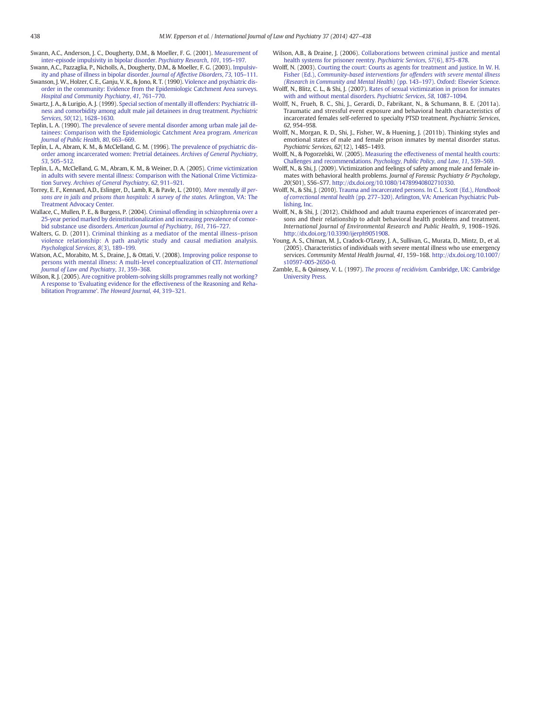Swann, A.C., Anderson, J. C., Dougherty, D.M., & Moeller, F. G. (2001). [Measurement of](http://refhub.elsevier.com/S0160-2527(14)00026-0/rf0425) [inter-episode impulsivity in bipolar disorder.](http://refhub.elsevier.com/S0160-2527(14)00026-0/rf0425) Psychiatry Research, 101, 195–197.

Swann, A.C., Pazzaglia, P., Nicholls, A., Dougherty, D.M., & Moeller, F. G. (2003). [Impulsiv](http://refhub.elsevier.com/S0160-2527(14)00026-0/rf0430)[ity and phase of illness in bipolar disorder.](http://refhub.elsevier.com/S0160-2527(14)00026-0/rf0430) Journal of Affective Disorders, 73, 105–111.

- Swanson, J. W., Holzer, C. E., Ganju, V. K., & Jono, R. T. (1990). [Violence and psychiatric dis](http://refhub.elsevier.com/S0160-2527(14)00026-0/rf0435)[order in the community: Evidence from the Epidemiologic Catchment Area surveys.](http://refhub.elsevier.com/S0160-2527(14)00026-0/rf0435) [Hospital and Community Psychiatry](http://refhub.elsevier.com/S0160-2527(14)00026-0/rf0435), 41, 761–770.
- Swartz, J. A., & Lurigio, A. J. (1999). [Special section of mentally ill offenders: Psychiatric ill](http://refhub.elsevier.com/S0160-2527(14)00026-0/rf0440)[ness and comorbidity among adult male jail detainees in drug treatment.](http://refhub.elsevier.com/S0160-2527(14)00026-0/rf0440) Psychiatric Services, 50[\(12\), 1628](http://refhub.elsevier.com/S0160-2527(14)00026-0/rf0440)–1630.
- Teplin, L. A. (1990). [The prevalence of severe mental disorder among urban male jail de](http://refhub.elsevier.com/S0160-2527(14)00026-0/rf0445)[tainees: Comparison with the Epidemiologic Catchment Area program.](http://refhub.elsevier.com/S0160-2527(14)00026-0/rf0445) American [Journal of Public Health](http://refhub.elsevier.com/S0160-2527(14)00026-0/rf0445), 80, 663–669.
- Teplin, L. A., Abram, K. M., & McClelland, G. M. (1996). [The prevalence of psychiatric dis](http://refhub.elsevier.com/S0160-2527(14)00026-0/rf0450)[order among incarcerated women: Pretrial detainees.](http://refhub.elsevier.com/S0160-2527(14)00026-0/rf0450) Archives of General Psychiatry, 53[, 505](http://refhub.elsevier.com/S0160-2527(14)00026-0/rf0450)–512.
- Teplin, L. A., McClelland, G. M., Abram, K. M., & Weiner, D. A. (2005). [Crime victimization](http://refhub.elsevier.com/S0160-2527(14)00026-0/rf0455) [in adults with severe mental illness: Comparison with the National Crime Victimiza](http://refhub.elsevier.com/S0160-2527(14)00026-0/rf0455)tion Survey. [Archives of General Psychiatry](http://refhub.elsevier.com/S0160-2527(14)00026-0/rf0455), 62, 911–921.
- Torrey, E. F., Kennard, A.D., Eslinger, D., Lamb, R., & Pavle, L. (2010). [More mentally ill per](http://refhub.elsevier.com/S0160-2527(14)00026-0/rf0460)[sons are in jails and prisons than hospitals: A survey of the states.](http://refhub.elsevier.com/S0160-2527(14)00026-0/rf0460) Arlington, VA: The [Treatment Advocacy Center.](http://refhub.elsevier.com/S0160-2527(14)00026-0/rf0460)
- Wallace, C., Mullen, P. E., & Burgess, P. (2004). [Criminal offending in schizophrenia over a](http://refhub.elsevier.com/S0160-2527(14)00026-0/rf0465) [25-year period marked by deinstitutionalization and increasing prevalence of comor](http://refhub.elsevier.com/S0160-2527(14)00026-0/rf0465)bid substance use disorders. [American Journal of Psychiatry](http://refhub.elsevier.com/S0160-2527(14)00026-0/rf0465), 161, 716–727.
- Walters, G. D. (2011). [Criminal thinking as a mediator of the mental illness](http://refhub.elsevier.com/S0160-2527(14)00026-0/rf0470)–prison [violence relationship: A path analytic study and causal mediation analysis.](http://refhub.elsevier.com/S0160-2527(14)00026-0/rf0470) [Psychological Services](http://refhub.elsevier.com/S0160-2527(14)00026-0/rf0470), 8(3), 189–199.
- Watson, A.C., Morabito, M. S., Draine, J., & Ottati, V. (2008). [Improving police response to](http://refhub.elsevier.com/S0160-2527(14)00026-0/rf0475) [persons with mental illness: A multi-level conceptualization of CIT.](http://refhub.elsevier.com/S0160-2527(14)00026-0/rf0475) International [Journal of Law and Psychiatry](http://refhub.elsevier.com/S0160-2527(14)00026-0/rf0475), 31, 359–368.
- Wilson, R. J. (2005). Are [cognitive problem-solving skills programmes really not working?](http://refhub.elsevier.com/S0160-2527(14)00026-0/rf0480) A response to '[Evaluating evidence for the effectiveness of the Reasoning and Reha](http://refhub.elsevier.com/S0160-2527(14)00026-0/rf0480)[bilitation Programme](http://refhub.elsevier.com/S0160-2527(14)00026-0/rf0480)'. The Howard Journal, 44, 319–321.
- Wilson, A.B., & Draine, J. (2006). [Collaborations between criminal justice and mental](http://refhub.elsevier.com/S0160-2527(14)00026-0/rf0485) [health systems for prisoner reentry.](http://refhub.elsevier.com/S0160-2527(14)00026-0/rf0485) Psychiatric Services, 57(6), 875–878.
- Wolff, N. (2003). [Courting the court: Courts as agents for treatment and justice. In W. H.](http://refhub.elsevier.com/S0160-2527(14)00026-0/rf0490) Fisher (Ed.), [Community-based interventions for offenders with severe mental illness](http://refhub.elsevier.com/S0160-2527(14)00026-0/rf0490) [\(Research in Community and Mental Health\)](http://refhub.elsevier.com/S0160-2527(14)00026-0/rf0490) (pp. 143–197). Oxford: Elsevier Science.
- Wolff, N., Blitz, C. L., & Shi, I. (2007). [Rates of sexual victimization in prison for inmates](http://refhub.elsevier.com/S0160-2527(14)00026-0/rf0500) [with and without mental disorders.](http://refhub.elsevier.com/S0160-2527(14)00026-0/rf0500) Psychiatric Services, 58, 1087–1094.
- Wolff, N., Frueh, B. C., Shi, J., Gerardi, D., Fabrikant, N., & Schumann, B. E. (2011a). Traumatic and stressful event exposure and behavioral health characteristics of incarcerated females self-referred to specialty PTSD treatment. Psychiatric Services, 62, 954–958.
- Wolff, N., Morgan, R. D., Shi, J., Fisher, W., & Huening, J. (2011b). Thinking styles and emotional states of male and female prison inmates by mental disorder status. Psychiatric Services, 62(12), 1485–1493.
- Wolff, N., & Pogorzelski, W. (2005). [Measuring the effectiveness of mental health courts:](http://refhub.elsevier.com/S0160-2527(14)00026-0/rf0495) [Challenges and recommendations.](http://refhub.elsevier.com/S0160-2527(14)00026-0/rf0495) Psychology, Public Policy, and Law, 11, 539–569.
- Wolff, N., & Shi, J. (2009). Victimization and feelings of safety among male and female inmates with behavioral health problems. Journal of Forensic Psychiatry & Psychology, 20(S01), S56–S77. http://dx.doi.org[/10.1080/14789940802710330](http://dx.doi.org/10.1080/14789940802710330).
- Wolff, N., & Shi, J. (2010). [Trauma and incarcerated persons. In C. L. Scott \(Ed.\),](http://refhub.elsevier.com/S0160-2527(14)00026-0/rf0515) Handbook of correctional mental health (pp. 277–[320\). Arlington, VA: American Psychiatric Pub](http://refhub.elsevier.com/S0160-2527(14)00026-0/rf0515)[lishing, Inc.](http://refhub.elsevier.com/S0160-2527(14)00026-0/rf0515)
- Wolff, N., & Shi, J. (2012). Childhood and adult trauma experiences of incarcerated persons and their relationship to adult behavioral health problems and treatment. International Journal of Environmental Research and Public Health, 9, 1908–1926. http://dx.doi.org[/10.3390/ijerph9051908](http://dx.doi.org/10.3390/ijerph9051908).
- Young, A. S., Chiman, M. J., Cradock-O'Leary, J. A., Sullivan, G., Murata, D., Mintz, D., et al. (2005). Characteristics of individuals with severe mental illness who use emergency services. Community Mental Health Journal, 41, 159–168. http://dx.doi.org[/10.1007/](http://dx.doi.org/10.1007/s10597-005-2650-0) [s10597-005-2650-0](http://dx.doi.org/10.1007/s10597-005-2650-0).
- Zamble, E., & Quinsey, V. L. (1997). The process of recidivism. [Cambridge, UK: Cambridge](http://refhub.elsevier.com/S0160-2527(14)00026-0/rf0530) [University Press.](http://refhub.elsevier.com/S0160-2527(14)00026-0/rf0530)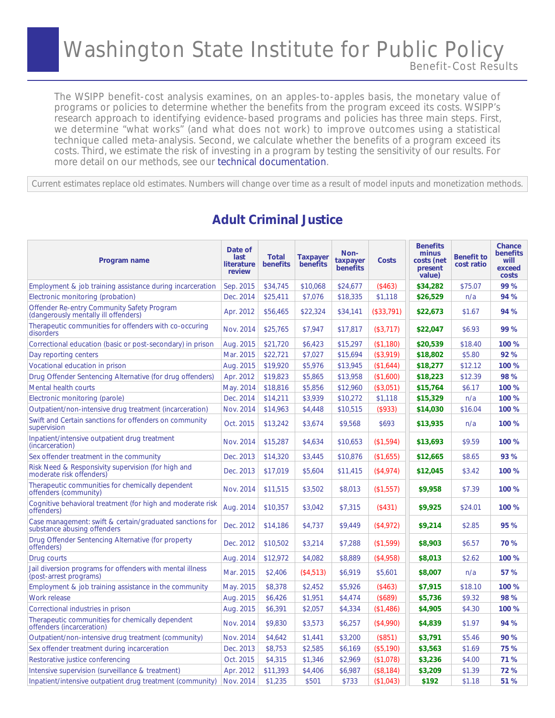The WSIPP benefit-cost analysis examines, on an apples-to-apples basis, the monetary value of programs or policies to determine whether the benefits from the program exceed its costs. WSIPP's research approach to identifying evidence-based programs and policies has three main steps. First, we determine "what works" (and what does not work) to improve outcomes using a statistical technique called meta-analysis. Second, we calculate whether the benefits of a program exceed its costs. Third, we estimate the risk of investing in a program by testing the sensitivity of our results. For more detail on our methods, see our [technical documentation](http://www.wsipp.wa.gov/TechnicalDocumentation/WsippBenefitCostTechnicalDocumentation.pdf).

Current estimates replace old estimates. Numbers will change over time as a result of model inputs and monetization methods.

| Program name                                                                            | Date of<br>last<br>literature<br>review | Total<br>benefits | Taxpayer<br>benefits | Non-<br>taxpayer<br>benefits | Costs      | <b>Benefits</b><br>minus<br>costs (net<br>present<br>value) | Benefit to<br>cost ratio | Chance<br>benefits<br>will<br>exceed<br>costs |
|-----------------------------------------------------------------------------------------|-----------------------------------------|-------------------|----------------------|------------------------------|------------|-------------------------------------------------------------|--------------------------|-----------------------------------------------|
| Employment & job training assistance during incarceration                               | Sep. 2015                               | \$34,745          | \$10,068             | \$24,677                     | (\$463)    | \$34,282                                                    | \$75.07                  | 99 %                                          |
| Electronic monitoring (probation)                                                       | Dec. 2014                               | \$25,411          | \$7,076              | \$18,335                     | \$1,118    | \$26,529                                                    | n/a                      | 94 %                                          |
| Offender Re-entry Community Safety Program<br>(dangerously mentally ill offenders)      | Apr. 2012                               | \$56.465          | \$22,324             | \$34.141                     | (\$33,791) | \$22.673                                                    | \$1.67                   | 94 %                                          |
| Therapeutic communities for offenders with co-occuring<br>disorders                     | Nov. 2014                               | \$25,765          | \$7.947              | \$17,817                     | (\$3,717)  | \$22.047                                                    | \$6.93                   | 99 %                                          |
| Correctional education (basic or post-secondary) in prison                              | Aug. 2015                               | \$21,720          | \$6,423              | \$15,297                     | (\$1,180)  | \$20,539                                                    | \$18.40                  | 100 %                                         |
| Day reporting centers                                                                   | Mar. 2015                               | \$22,721          | \$7,027              | \$15,694                     | (\$3,919)  | \$18,802                                                    | \$5.80                   | 92 %                                          |
| Vocational education in prison                                                          | Aug. 2015                               | \$19,920          | \$5,976              | \$13,945                     | (\$1,644)  | \$18,277                                                    | \$12.12                  | 100 %                                         |
| Drug Offender Sentencing Alternative (for drug offenders)                               | Apr. 2012                               | \$19,823          | \$5,865              | \$13,958                     | (\$1,600)  | \$18,223                                                    | \$12.39                  | 98 %                                          |
| Mental health courts                                                                    | May. 2014                               | \$18,816          | \$5,856              | \$12,960                     | (\$3,051)  | \$15,764                                                    | \$6.17                   | 100 %                                         |
| Electronic monitoring (parole)                                                          | Dec. 2014                               | \$14,211          | \$3,939              | \$10,272                     | \$1,118    | \$15,329                                                    | n/a                      | 100 %                                         |
| Outpatient/non-intensive drug treatment (incarceration)                                 | Nov. 2014                               | \$14,963          | \$4,448              | \$10,515                     | (\$933)    | \$14,030                                                    | \$16.04                  | 100 %                                         |
| Swift and Certain sanctions for offenders on community<br>supervision                   | Oct. 2015                               | \$13,242          | \$3,674              | \$9,568                      | \$693      | \$13,935                                                    | n/a                      | 100 %                                         |
| Inpatient/intensive outpatient drug treatment<br>(incarceration)                        | Nov. 2014                               | \$15,287          | \$4,634              | \$10,653                     | (\$1,594)  | \$13,693                                                    | \$9.59                   | 100 %                                         |
| Sex offender treatment in the community                                                 | Dec. 2013                               | \$14,320          | \$3,445              | \$10,876                     | (\$1,655)  | \$12,665                                                    | \$8.65                   | 93 %                                          |
| Risk Need & Responsivity supervision (for high and<br>moderate risk offenders)          | Dec. 2013                               | \$17,019          | \$5,604              | \$11.415                     | (\$4,974)  | \$12,045                                                    | \$3.42                   | 100 %                                         |
| Therapeutic communities for chemically dependent<br>offenders (community)               | Nov. 2014                               | \$11,515          | \$3,502              | \$8,013                      | (\$1,557)  | \$9,958                                                     | \$7.39                   | 100 %                                         |
| Cognitive behavioral treatment (for high and moderate risk<br>offenders)                | Aug. 2014                               | \$10,357          | \$3,042              | \$7,315                      | (\$431)    | \$9.925                                                     | \$24.01                  | 100 %                                         |
| Case management: swift & certain/graduated sanctions for<br>substance abusing offenders | Dec. 2012                               | \$14,186          | \$4,737              | \$9.449                      | (\$4,972)  | \$9,214                                                     | \$2.85                   | 95 %                                          |
| Drug Offender Sentencing Alternative (for property<br>offenders)                        | Dec. 2012                               | \$10,502          | \$3,214              | \$7,288                      | (\$1,599)  | \$8,903                                                     | \$6.57                   | 70 %                                          |
| Drug courts                                                                             | Aug. 2014                               | \$12.972          | \$4,082              | \$8,889                      | (\$4,958)  | \$8,013                                                     | \$2.62                   | 100 %                                         |
| Jail diversion programs for offenders with mental illness<br>(post-arrest programs)     | Mar. 2015                               | \$2,406           | (\$4,513)            | \$6,919                      | \$5,601    | \$8,007                                                     | n/a                      | 57 %                                          |
| Employment & job training assistance in the community                                   | May. 2015                               | \$8,378           | \$2,452              | \$5,926                      | (\$463)    | \$7,915                                                     | \$18.10                  | 100 %                                         |
| Work release                                                                            | Aug. 2015                               | \$6,426           | \$1,951              | \$4,474                      | (\$689)    | \$5,736                                                     | \$9.32                   | 98 %                                          |
| Correctional industries in prison                                                       | Aug. 2015                               | \$6,391           | \$2,057              | \$4,334                      | (\$1,486)  | \$4,905                                                     | \$4.30                   | 100 %                                         |
| Therapeutic communities for chemically dependent<br>offenders (incarceration)           | Nov. 2014                               | \$9,830           | \$3,573              | \$6,257                      | (\$4,990)  | \$4,839                                                     | \$1.97                   | 94 %                                          |
| Outpatient/non-intensive drug treatment (community)                                     | Nov. 2014                               | \$4,642           | \$1,441              | \$3,200                      | (\$851)    | \$3,791                                                     | \$5.46                   | 90 %                                          |
| Sex offender treatment during incarceration                                             | Dec. 2013                               | \$8,753           | \$2,585              | \$6,169                      | (\$5,190)  | \$3,563                                                     | \$1.69                   | 75 %                                          |
| Restorative justice conferencing                                                        | Oct. 2015                               | \$4,315           | \$1,346              | \$2.969                      | (\$1,078)  | \$3,236                                                     | \$4.00                   | 71 %                                          |
| Intensive supervision (surveillance & treatment)                                        | Apr. 2012                               | \$11,393          | \$4,406              | \$6,987                      | (\$8,184)  | \$3,209                                                     | \$1.39                   | 72 %                                          |
| Inpatient/intensive outpatient drug treatment (community)                               | Nov. 2014                               | \$1,235           | \$501                | \$733                        | (\$1,043)  | \$192                                                       | \$1.18                   | 51 %                                          |

### **Adult Criminal Justice**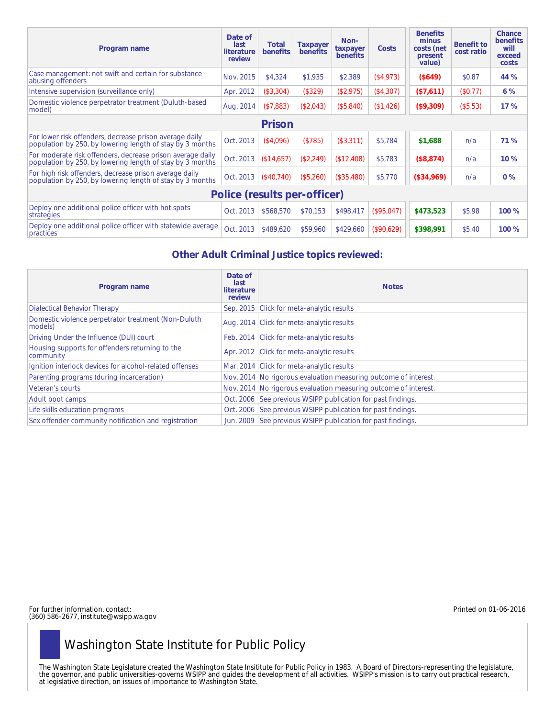| Program name                                                                                                            | Date of<br>last<br>literature<br>review | Total<br>benefits | Taxpayer<br>benefits | Non-<br>taxpayer<br>benefits | Costs      | <b>Benefits</b><br>minus<br>costs (net<br>present<br>value) | Benefit to<br>cost ratio | Chance<br>benefits<br>will<br>exceed<br>costs |
|-------------------------------------------------------------------------------------------------------------------------|-----------------------------------------|-------------------|----------------------|------------------------------|------------|-------------------------------------------------------------|--------------------------|-----------------------------------------------|
| Case management: not swift and certain for substance<br>abusing offenders                                               | Nov. 2015                               | \$4,324           | \$1,935              | \$2,389                      | (\$4,973)  | (\$649)                                                     | \$0.87                   | 44 %                                          |
| Intensive supervision (surveillance only)                                                                               | Apr. 2012                               | (\$3,304)         | (\$329)              | (\$2,975)                    | (\$4,307)  | (\$7,611)                                                   | (\$0.77)                 | 6%                                            |
| Domestic violence perpetrator treatment (Duluth-based<br>model)                                                         | Aug. 2014                               | (\$7,883)         | (\$2,043)            | (\$5,840)                    | (\$1,426)  | (\$9,309)                                                   | (\$5.53)                 | 17 %                                          |
| Prison                                                                                                                  |                                         |                   |                      |                              |            |                                                             |                          |                                               |
| For lower risk offenders, decrease prison average daily<br>population by 250, by lowering length of stay by 3 months    | Oct. 2013                               | (\$4,096)         | ( \$785)             | (\$3,311)                    | \$5,784    | \$1,688                                                     | n/a                      | 71 %                                          |
| For moderate risk offenders, decrease prison average daily<br>population by 250, by lowering length of stay by 3 months | Oct. 2013                               | (\$14,657)        | (\$2,249)            | (\$12,408)                   | \$5,783    | (\$8,874)                                                   | n/a                      | 10 %                                          |
| For high risk offenders, decrease prison average daily<br>population by 250, by lowering length of stay by 3 months     | Oct. 2013                               | (\$40,740)        | (\$5,260)            | (\$35,480)                   | \$5,770    | (\$34,969)                                                  | n/a                      | 0%                                            |
| Police (results per-officer)                                                                                            |                                         |                   |                      |                              |            |                                                             |                          |                                               |
| Deploy one additional police officer with hot spots<br>strategies                                                       | Oct. 2013                               | \$568,570         | \$70.153             | \$498.417                    | (\$95,047) | \$473,523                                                   | \$5.98                   | 100 %                                         |
| Deploy one additional police officer with statewide average<br>practices                                                | Oct. 2013                               | \$489,620         | \$59,960             | \$429,660                    | (\$90,629) | \$398,991                                                   | \$5.40                   | 100 %                                         |

### **Other Adult Criminal Justice topics reviewed:**

| Program name                                                   | Date of<br>last<br>literature<br>review | <b>Notes</b>                                                    |
|----------------------------------------------------------------|-----------------------------------------|-----------------------------------------------------------------|
| Dialectical Behavior Therapy                                   |                                         | Sep. 2015 Click for meta-analytic results                       |
| Domestic violence perpetrator treatment (Non-Duluth<br>models) |                                         | Aug. 2014 Click for meta-analytic results                       |
| Driving Under the Influence (DUI) court                        |                                         | Feb. 2014 Click for meta-analytic results                       |
| Housing supports for offenders returning to the<br>community   |                                         | Apr. 2012 Click for meta-analytic results                       |
| Ignition interlock devices for alcohol-related offenses        |                                         | Mar. 2014 Click for meta-analytic results                       |
| Parenting programs (during incarceration)                      |                                         | Nov. 2014 No rigorous evaluation measuring outcome of interest. |
| Veteran's courts                                               |                                         | Nov. 2014 No rigorous evaluation measuring outcome of interest. |
| Adult boot camps                                               |                                         | Oct. 2006 See previous WSIPP publication for past findings.     |
| Life skills education programs                                 |                                         | Oct. 2006 See previous WSIPP publication for past findings.     |
| Sex offender community notification and registration           |                                         | Jun. 2009 See previous WSIPP publication for past findings.     |

For further information, contact: (360) 586-2677, institute@wsipp.wa.gov Printed on 01-06-2016

## Washington State Institute for Public Policy

The Washington State Legislature created the Washington State Insititute for Public Policy in 1983. A Board of Directors-representing the legislature, the governor, and public universities-governs WSIPP and guides the development of all activities. WSIPP's mission is to carry out practical research, at legislative direction, on issues of importance to Washington State.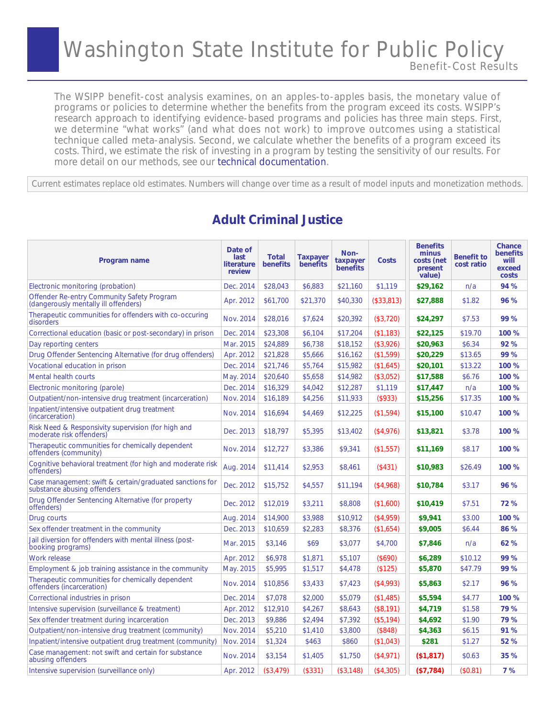The WSIPP benefit-cost analysis examines, on an apples-to-apples basis, the monetary value of programs or policies to determine whether the benefits from the program exceed its costs. WSIPP's research approach to identifying evidence-based programs and policies has three main steps. First, we determine "what works" (and what does not work) to improve outcomes using a statistical technique called meta-analysis. Second, we calculate whether the benefits of a program exceed its costs. Third, we estimate the risk of investing in a program by testing the sensitivity of our results. For more detail on our methods, see our [technical documentation](http://www.wsipp.wa.gov/TechnicalDocumentation/WsippBenefitCostTechnicalDocumentation.pdf).

Current estimates replace old estimates. Numbers will change over time as a result of model inputs and monetization methods.

| Program name                                                                            | Date of<br>last<br>literature<br>review | Total<br>benefits | Taxpayer<br>benefits | Non-<br>taxpayer<br>benefits | Costs      | <b>Benefits</b><br>minus<br>costs (net<br>present<br>value) | Benefit to<br>cost ratio | Chance<br>benefits<br>will<br>exceed<br>costs |
|-----------------------------------------------------------------------------------------|-----------------------------------------|-------------------|----------------------|------------------------------|------------|-------------------------------------------------------------|--------------------------|-----------------------------------------------|
| Electronic monitoring (probation)                                                       | Dec. 2014                               | \$28,043          | \$6,883              | \$21,160                     | \$1,119    | \$29,162                                                    | n/a                      | 94 %                                          |
| Offender Re-entry Community Safety Program<br>(dangerously mentally ill offenders)      | Apr. 2012                               | \$61,700          | \$21,370             | \$40,330                     | (\$33,813) | \$27,888                                                    | \$1.82                   | 96 %                                          |
| Therapeutic communities for offenders with co-occuring<br>disorders                     | Nov. 2014                               | \$28,016          | \$7.624              | \$20.392                     | (\$3,720)  | \$24,297                                                    | \$7.53                   | 99 %                                          |
| Correctional education (basic or post-secondary) in prison                              | Dec. 2014                               | \$23,308          | \$6,104              | \$17,204                     | ( \$1,183) | \$22,125                                                    | \$19.70                  | 100 %                                         |
| Day reporting centers                                                                   | Mar. 2015                               | \$24.889          | \$6,738              | \$18,152                     | (\$3,926)  | \$20,963                                                    | \$6.34                   | 92 %                                          |
| Drug Offender Sentencing Alternative (for drug offenders)                               | Apr. 2012                               | \$21,828          | \$5.666              | \$16,162                     | (\$1,599)  | \$20,229                                                    | \$13.65                  | 99 %                                          |
| Vocational education in prison                                                          | Dec. 2014                               | \$21,746          | \$5,764              | \$15,982                     | (\$1,645)  | \$20,101                                                    | \$13.22                  | 100 %                                         |
| Mental health courts                                                                    | May. 2014                               | \$20,640          | \$5,658              | \$14,982                     | (\$3,052)  | \$17,588                                                    | \$6.76                   | 100 %                                         |
| Electronic monitoring (parole)                                                          | Dec. 2014                               | \$16,329          | \$4,042              | \$12,287                     | \$1,119    | \$17,447                                                    | n/a                      | 100 %                                         |
| Outpatient/non-intensive drug treatment (incarceration)                                 | Nov. 2014                               | \$16,189          | \$4,256              | \$11,933                     | $($ \$933) | \$15,256                                                    | \$17.35                  | 100 %                                         |
| Inpatient/intensive outpatient drug treatment<br>(incarceration)                        | Nov. 2014                               | \$16,694          | \$4,469              | \$12,225                     | (\$1,594)  | \$15,100                                                    | \$10.47                  | 100 %                                         |
| Risk Need & Responsivity supervision (for high and<br>moderate risk offenders)          | Dec. 2013                               | \$18,797          | \$5,395              | \$13,402                     | (\$4,976)  | \$13,821                                                    | \$3.78                   | 100 %                                         |
| Therapeutic communities for chemically dependent<br>offenders (community)               | Nov. 2014                               | \$12,727          | \$3,386              | \$9.341                      | (\$1,557)  | \$11.169                                                    | \$8.17                   | 100 %                                         |
| Cognitive behavioral treatment (for high and moderate risk<br>offenders)                | Aug. 2014                               | \$11,414          | \$2,953              | \$8.461                      | (\$431)    | \$10,983                                                    | \$26.49                  | 100 %                                         |
| Case management: swift & certain/graduated sanctions for<br>substance abusing offenders | Dec. 2012                               | \$15,752          | \$4,557              | \$11,194                     | (\$4,968)  | \$10,784                                                    | \$3.17                   | 96 %                                          |
| Drug Offender Sentencing Alternative (for property<br>offenders)                        | Dec. 2012                               | \$12.019          | \$3.211              | \$8,808                      | (\$1,600)  | \$10,419                                                    | \$7.51                   | 72 %                                          |
| Drug courts                                                                             | Aug. 2014                               | \$14,900          | \$3,988              | \$10.912                     | (\$4,959)  | \$9,941                                                     | \$3.00                   | 100 %                                         |
| Sex offender treatment in the community                                                 | Dec. 2013                               | \$10.659          | \$2,283              | \$8,376                      | (\$1,654)  | \$9,005                                                     | \$6.44                   | 86 %                                          |
| Jail diversion for offenders with mental illness (post-<br>booking programs)            | Mar. 2015                               | \$3.146           | \$69                 | \$3.077                      | \$4,700    | \$7.846                                                     | n/a                      | 62 %                                          |
| Work release                                                                            | Apr. 2012                               | \$6,978           | \$1.871              | \$5.107                      | (\$690)    | \$6,289                                                     | \$10.12                  | 99 %                                          |
| Employment & job training assistance in the community                                   | May. 2015                               | \$5,995           | \$1.517              | \$4,478                      | (\$125)    | \$5,870                                                     | \$47.79                  | 99 %                                          |
| Therapeutic communities for chemically dependent<br>offenders (incarceration)           | Nov. 2014                               | \$10,856          | \$3.433              | \$7,423                      | (\$4,993)  | \$5,863                                                     | \$2.17                   | 96 %                                          |
| Correctional industries in prison                                                       | Dec. 2014                               | \$7,078           | \$2,000              | \$5.079                      | (\$1,485)  | \$5,594                                                     | \$4.77                   | 100 %                                         |
| Intensive supervision (surveillance & treatment)                                        | Apr. 2012                               | \$12,910          | \$4.267              | \$8,643                      | (\$8,191)  | \$4,719                                                     | \$1.58                   | 79 %                                          |
| Sex offender treatment during incarceration                                             | Dec. 2013                               | \$9,886           | \$2,494              | \$7,392                      | (\$5,194)  | \$4,692                                                     | \$1.90                   | 79 %                                          |
| Outpatient/non-intensive drug treatment (community)                                     | Nov. 2014                               | \$5,210           | \$1,410              | \$3,800                      | (\$848)    | \$4,363                                                     | \$6.15                   | 91 %                                          |
| Inpatient/intensive outpatient drug treatment (community)                               | Nov. 2014                               | \$1,324           | \$463                | \$860                        | (\$1,043)  | \$281                                                       | \$1.27                   | 52 %                                          |
| Case management: not swift and certain for substance<br>abusing offenders               | Nov. 2014                               | \$3,154           | \$1,405              | \$1,750                      | (\$4,971)  | (\$1,817)                                                   | \$0.63                   | 35 %                                          |
| Intensive supervision (surveillance only)                                               | Apr. 2012                               | (\$3,479)         | (\$331)              | (\$3,148)                    | (\$4,305)  | (\$7,784)                                                   | (\$0.81)                 | 7%                                            |

### **Adult Criminal Justice**